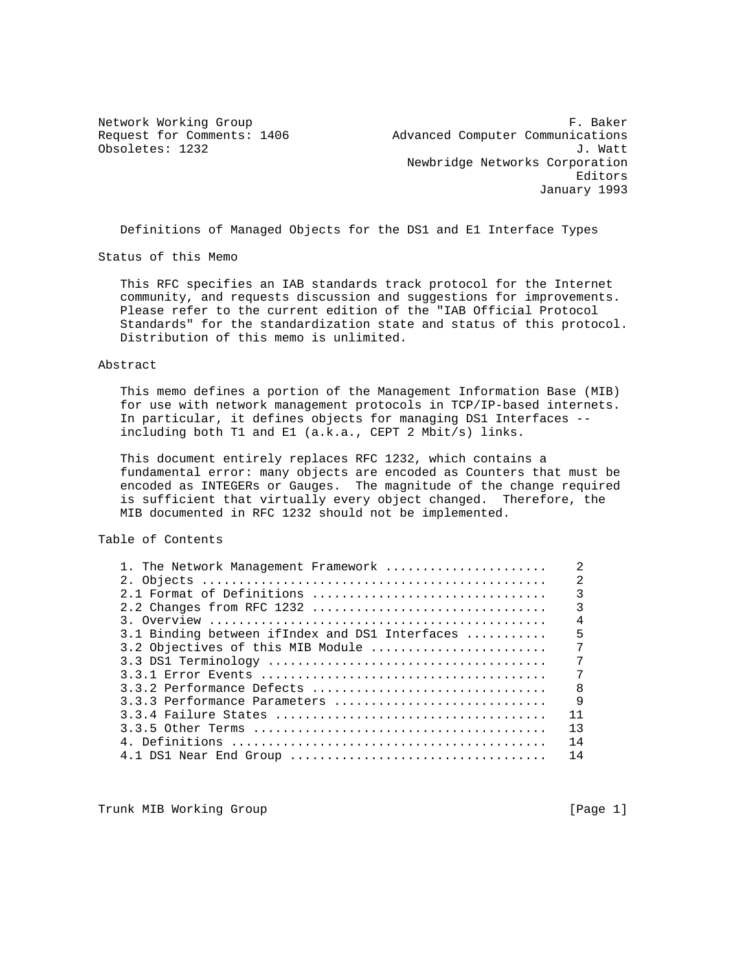Network Working Group **F. Baker** Request for Comments: 1406 Advanced Computer Communications Obsoletes: 1232 J. Watt Newbridge Networks Corporation Editors January 1993

Definitions of Managed Objects for the DS1 and E1 Interface Types

Status of this Memo

 This RFC specifies an IAB standards track protocol for the Internet community, and requests discussion and suggestions for improvements. Please refer to the current edition of the "IAB Official Protocol Standards" for the standardization state and status of this protocol. Distribution of this memo is unlimited.

Abstract

 This memo defines a portion of the Management Information Base (MIB) for use with network management protocols in TCP/IP-based internets. In particular, it defines objects for managing DS1 Interfaces - including both T1 and E1 (a.k.a., CEPT 2 Mbit/s) links.

 This document entirely replaces RFC 1232, which contains a fundamental error: many objects are encoded as Counters that must be encoded as INTEGERs or Gauges. The magnitude of the change required is sufficient that virtually every object changed. Therefore, the MIB documented in RFC 1232 should not be implemented.

Table of Contents

| 1. The Network Management Framework            | $\mathfrak{D}$ |
|------------------------------------------------|----------------|
|                                                | $\overline{2}$ |
|                                                | $\overline{3}$ |
|                                                | $\overline{3}$ |
|                                                | $\overline{4}$ |
| 3.1 Binding between ifIndex and DS1 Interfaces | 5              |
| 3.2 Objectives of this MIB Module              | 7              |
|                                                | 7              |
|                                                | 7              |
| 3.3.2 Performance Defects                      | $_{\rm 8}$     |
| 3.3.3 Performance Parameters                   | $\mathsf{Q}$   |
|                                                | 11             |
|                                                | 13             |
|                                                | 14             |
| 4.1 DS1 Near End Group                         | 14             |
|                                                |                |

Trunk MIB Working Group **Example 2018** [Page 1]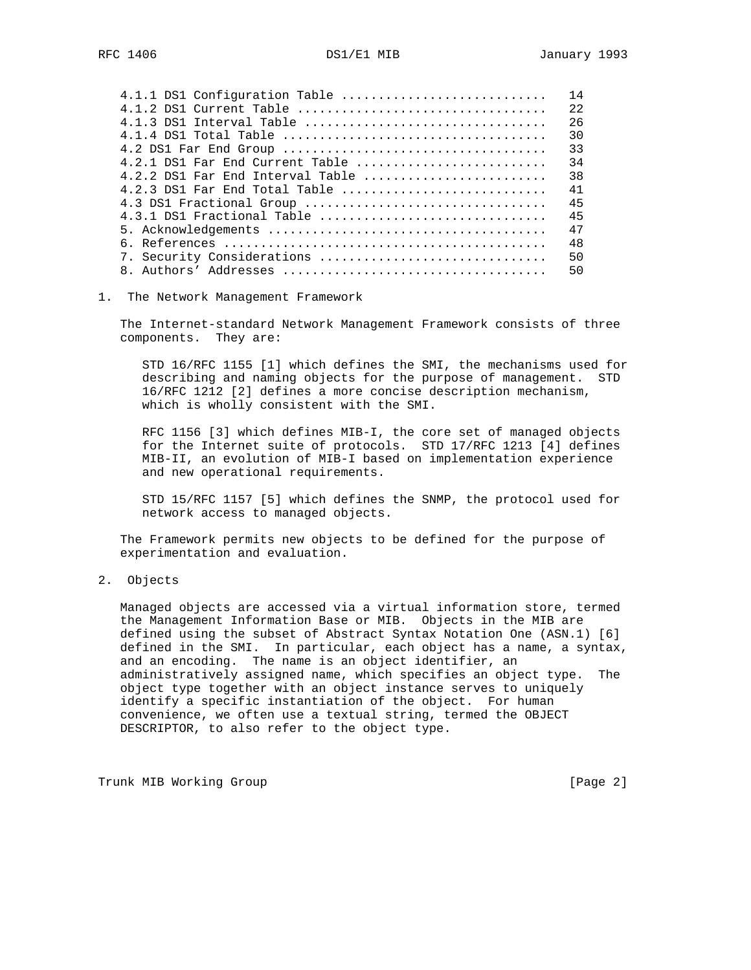| 4.1.1 DS1 Configuration Table      | 14 |
|------------------------------------|----|
| $4.1.2$ DS1 Current Table          | 22 |
| $4.1.3$ DS1 Interval Table         | 26 |
|                                    | 30 |
|                                    | 33 |
| $4.2.1$ DS1 Far End Current Table  | 34 |
| $4.2.2$ DS1 Far End Interval Table | 38 |
| $4.2.3$ DS1 Far End Total Table    | 41 |
| 4.3 DS1 Fractional Group           | 45 |
| $4.3.1$ DS1 Fractional Table       | 45 |
|                                    | 47 |
|                                    | 48 |
| 7. Security Considerations         | 50 |
|                                    | 50 |
|                                    |    |

## 1. The Network Management Framework

 The Internet-standard Network Management Framework consists of three components. They are:

 STD 16/RFC 1155 [1] which defines the SMI, the mechanisms used for describing and naming objects for the purpose of management. STD 16/RFC 1212 [2] defines a more concise description mechanism, which is wholly consistent with the SMI.

 RFC 1156 [3] which defines MIB-I, the core set of managed objects for the Internet suite of protocols. STD 17/RFC 1213 [4] defines MIB-II, an evolution of MIB-I based on implementation experience and new operational requirements.

 STD 15/RFC 1157 [5] which defines the SNMP, the protocol used for network access to managed objects.

 The Framework permits new objects to be defined for the purpose of experimentation and evaluation.

## 2. Objects

 Managed objects are accessed via a virtual information store, termed the Management Information Base or MIB. Objects in the MIB are defined using the subset of Abstract Syntax Notation One (ASN.1) [6] defined in the SMI. In particular, each object has a name, a syntax, and an encoding. The name is an object identifier, an administratively assigned name, which specifies an object type. The object type together with an object instance serves to uniquely identify a specific instantiation of the object. For human convenience, we often use a textual string, termed the OBJECT DESCRIPTOR, to also refer to the object type.

Trunk MIB Working Group [Page 2]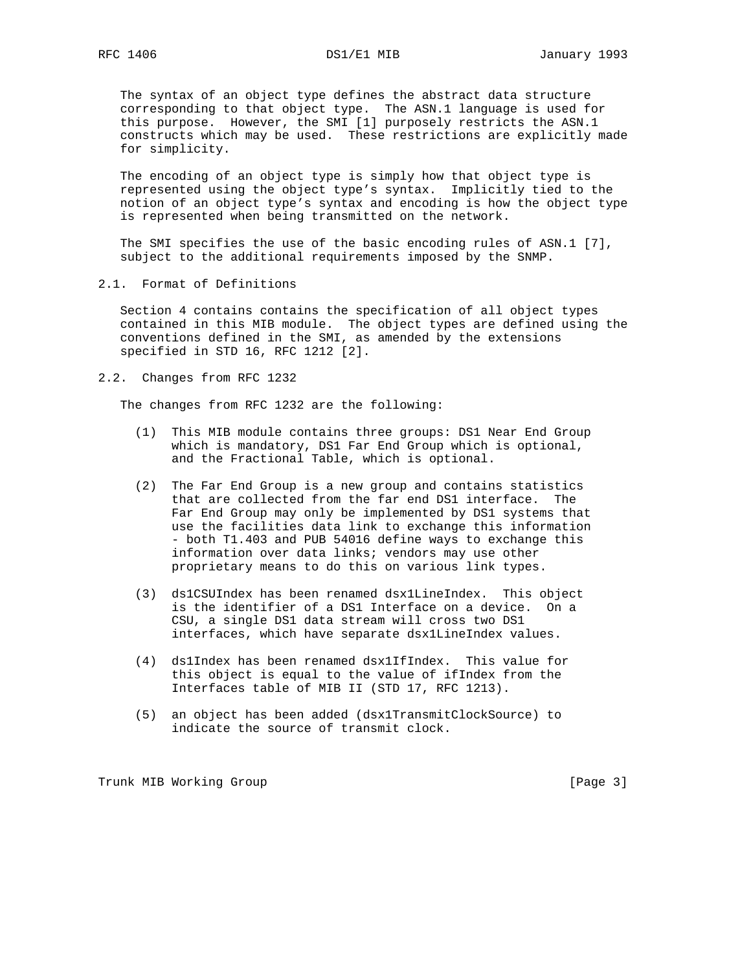The syntax of an object type defines the abstract data structure corresponding to that object type. The ASN.1 language is used for this purpose. However, the SMI [1] purposely restricts the ASN.1 constructs which may be used. These restrictions are explicitly made for simplicity.

 The encoding of an object type is simply how that object type is represented using the object type's syntax. Implicitly tied to the notion of an object type's syntax and encoding is how the object type is represented when being transmitted on the network.

 The SMI specifies the use of the basic encoding rules of ASN.1 [7], subject to the additional requirements imposed by the SNMP.

2.1. Format of Definitions

 Section 4 contains contains the specification of all object types contained in this MIB module. The object types are defined using the conventions defined in the SMI, as amended by the extensions specified in STD 16, RFC 1212 [2].

2.2. Changes from RFC 1232

The changes from RFC 1232 are the following:

- (1) This MIB module contains three groups: DS1 Near End Group which is mandatory, DS1 Far End Group which is optional, and the Fractional Table, which is optional.
- (2) The Far End Group is a new group and contains statistics that are collected from the far end DS1 interface. The Far End Group may only be implemented by DS1 systems that use the facilities data link to exchange this information - both T1.403 and PUB 54016 define ways to exchange this information over data links; vendors may use other proprietary means to do this on various link types.
- (3) ds1CSUIndex has been renamed dsx1LineIndex. This object is the identifier of a DS1 Interface on a device. On a CSU, a single DS1 data stream will cross two DS1 interfaces, which have separate dsx1LineIndex values.
- (4) ds1Index has been renamed dsx1IfIndex. This value for this object is equal to the value of ifIndex from the Interfaces table of MIB II (STD 17, RFC 1213).
- (5) an object has been added (dsx1TransmitClockSource) to indicate the source of transmit clock.

Trunk MIB Working Group [Page 3]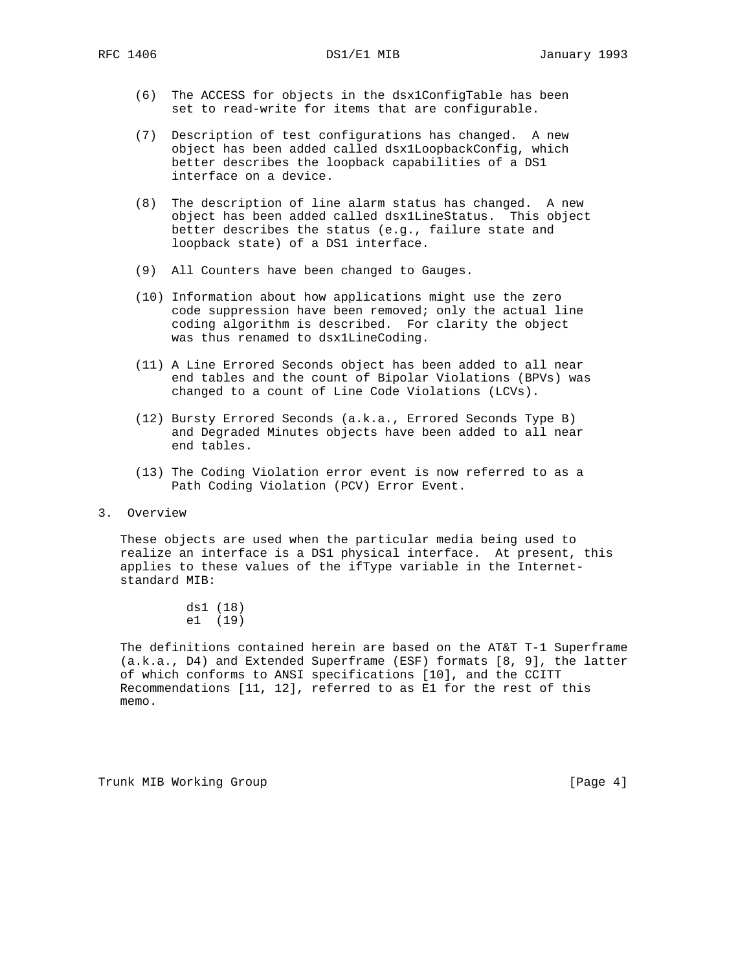- (6) The ACCESS for objects in the dsx1ConfigTable has been set to read-write for items that are configurable.
- (7) Description of test configurations has changed. A new object has been added called dsx1LoopbackConfig, which better describes the loopback capabilities of a DS1 interface on a device.
- (8) The description of line alarm status has changed. A new object has been added called dsx1LineStatus. This object better describes the status (e.g., failure state and loopback state) of a DS1 interface.
- (9) All Counters have been changed to Gauges.
- (10) Information about how applications might use the zero code suppression have been removed; only the actual line coding algorithm is described. For clarity the object was thus renamed to dsx1LineCoding.
- (11) A Line Errored Seconds object has been added to all near end tables and the count of Bipolar Violations (BPVs) was changed to a count of Line Code Violations (LCVs).
- (12) Bursty Errored Seconds (a.k.a., Errored Seconds Type B) and Degraded Minutes objects have been added to all near end tables.
- (13) The Coding Violation error event is now referred to as a Path Coding Violation (PCV) Error Event.

## 3. Overview

 These objects are used when the particular media being used to realize an interface is a DS1 physical interface. At present, this applies to these values of the ifType variable in the Internet standard MIB:

> ds1 (18) e1 (19)

 The definitions contained herein are based on the AT&T T-1 Superframe (a.k.a., D4) and Extended Superframe (ESF) formats [8, 9], the latter of which conforms to ANSI specifications [10], and the CCITT Recommendations [11, 12], referred to as E1 for the rest of this memo.

Trunk MIB Working Group **Example 2018** [Page 4]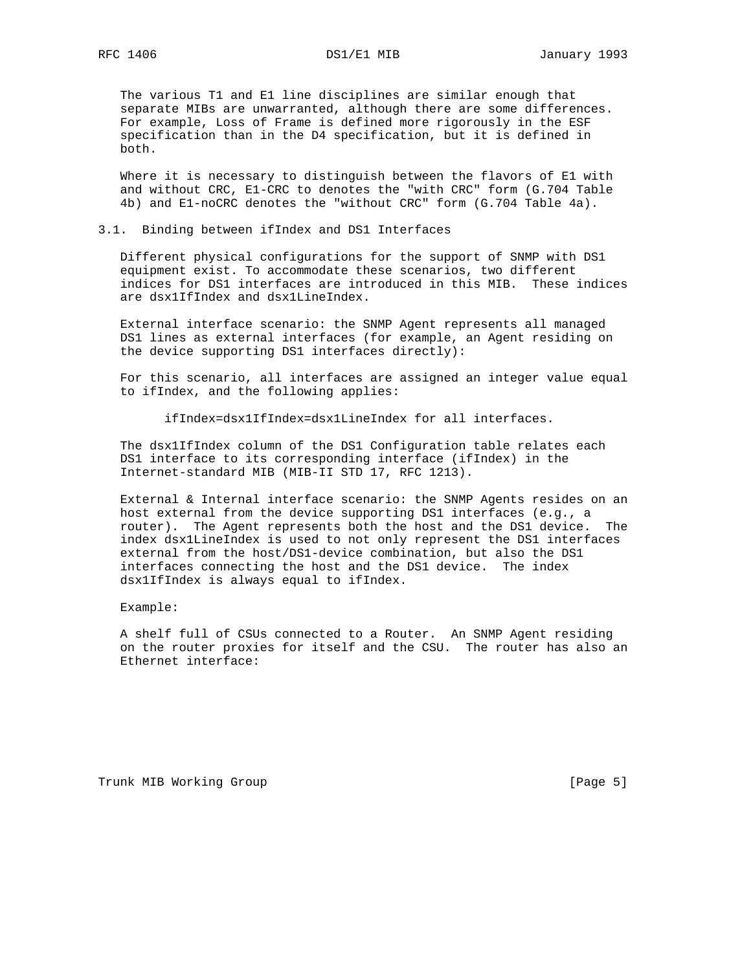The various T1 and E1 line disciplines are similar enough that separate MIBs are unwarranted, although there are some differences. For example, Loss of Frame is defined more rigorously in the ESF specification than in the D4 specification, but it is defined in both.

 Where it is necessary to distinguish between the flavors of E1 with and without CRC, E1-CRC to denotes the "with CRC" form (G.704 Table 4b) and E1-noCRC denotes the "without CRC" form (G.704 Table 4a).

## 3.1. Binding between ifIndex and DS1 Interfaces

 Different physical configurations for the support of SNMP with DS1 equipment exist. To accommodate these scenarios, two different indices for DS1 interfaces are introduced in this MIB. These indices are dsx1IfIndex and dsx1LineIndex.

 External interface scenario: the SNMP Agent represents all managed DS1 lines as external interfaces (for example, an Agent residing on the device supporting DS1 interfaces directly):

 For this scenario, all interfaces are assigned an integer value equal to ifIndex, and the following applies:

ifIndex=dsx1IfIndex=dsx1LineIndex for all interfaces.

 The dsx1IfIndex column of the DS1 Configuration table relates each DS1 interface to its corresponding interface (ifIndex) in the Internet-standard MIB (MIB-II STD 17, RFC 1213).

 External & Internal interface scenario: the SNMP Agents resides on an host external from the device supporting DS1 interfaces (e.g., a router). The Agent represents both the host and the DS1 device. The index dsx1LineIndex is used to not only represent the DS1 interfaces external from the host/DS1-device combination, but also the DS1 interfaces connecting the host and the DS1 device. The index dsx1IfIndex is always equal to ifIndex.

Example:

 A shelf full of CSUs connected to a Router. An SNMP Agent residing on the router proxies for itself and the CSU. The router has also an Ethernet interface:

Trunk MIB Working Group **Example 2018** [Page 5]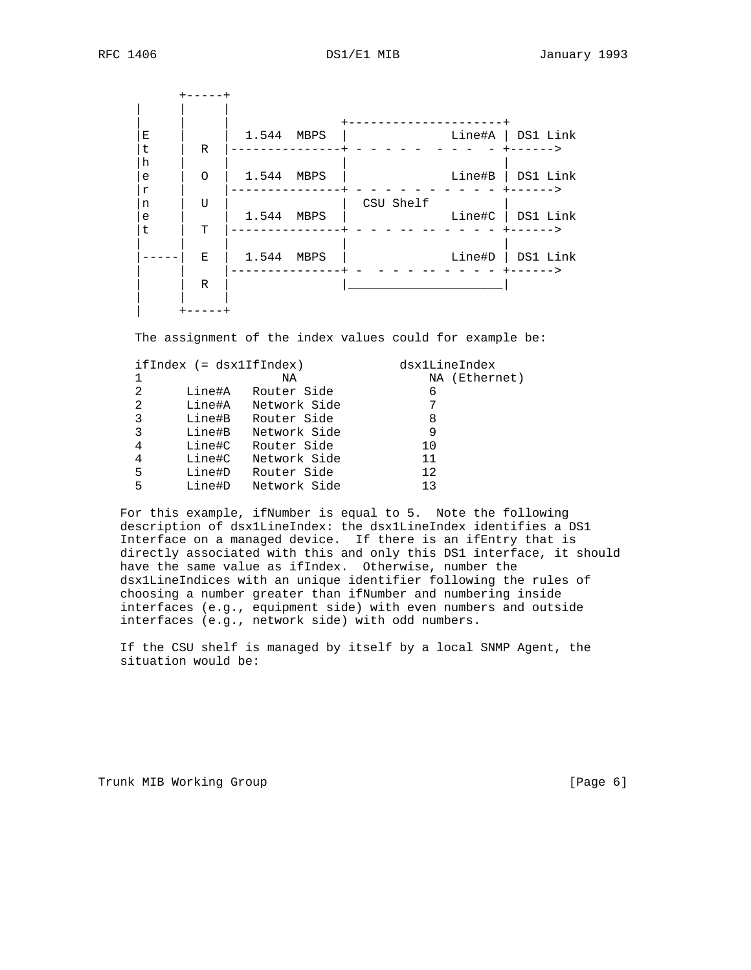| Е<br>t                | R           | 1.544 | MBPS |           |        | Line#A   DS1 Link<br>----->     |
|-----------------------|-------------|-------|------|-----------|--------|---------------------------------|
| h<br>e<br>$\mathbf r$ | $\circ$     | 1.544 | MBPS |           | Line#B | DS1 Link                        |
| n<br>e<br>t           | U<br>T      | 1.544 | MBPS | CSU Shelf | Line#C | DS1 Link<br>+------>            |
|                       | Ε           | 1.544 | MBPS |           | Line#D | DS1 Link<br>$+ - - - - -$<br>-> |
|                       | $\mathbb R$ |       |      |           |        |                                 |
|                       |             |       |      |           |        |                                 |

The assignment of the index values could for example be:

|   | $ifIndex (=dsx1IfIndex)$ |              | dsx1LineIndex |  |
|---|--------------------------|--------------|---------------|--|
| 1 |                          | ΝA           | NA (Ethernet) |  |
| 2 | Line#A                   | Router Side  | 6             |  |
| 2 | Line#A                   | Network Side | 7             |  |
| 3 | Line#B                   | Router Side  | 8             |  |
| 3 | Line#B                   | Network Side | 9             |  |
| 4 | Line#C                   | Router Side  | 10            |  |
| 4 | Line#C                   | Network Side | 11            |  |
| 5 | Line#D                   | Router Side  | 12            |  |
| 5 | Line#D                   | Network Side | 1 ว           |  |
|   |                          |              |               |  |

 For this example, ifNumber is equal to 5. Note the following description of dsx1LineIndex: the dsx1LineIndex identifies a DS1 Interface on a managed device. If there is an ifEntry that is directly associated with this and only this DS1 interface, it should have the same value as ifIndex. Otherwise, number the dsx1LineIndices with an unique identifier following the rules of choosing a number greater than ifNumber and numbering inside interfaces (e.g., equipment side) with even numbers and outside interfaces (e.g., network side) with odd numbers.

 If the CSU shelf is managed by itself by a local SNMP Agent, the situation would be:

Trunk MIB Working Group **Example 2018** [Page 6]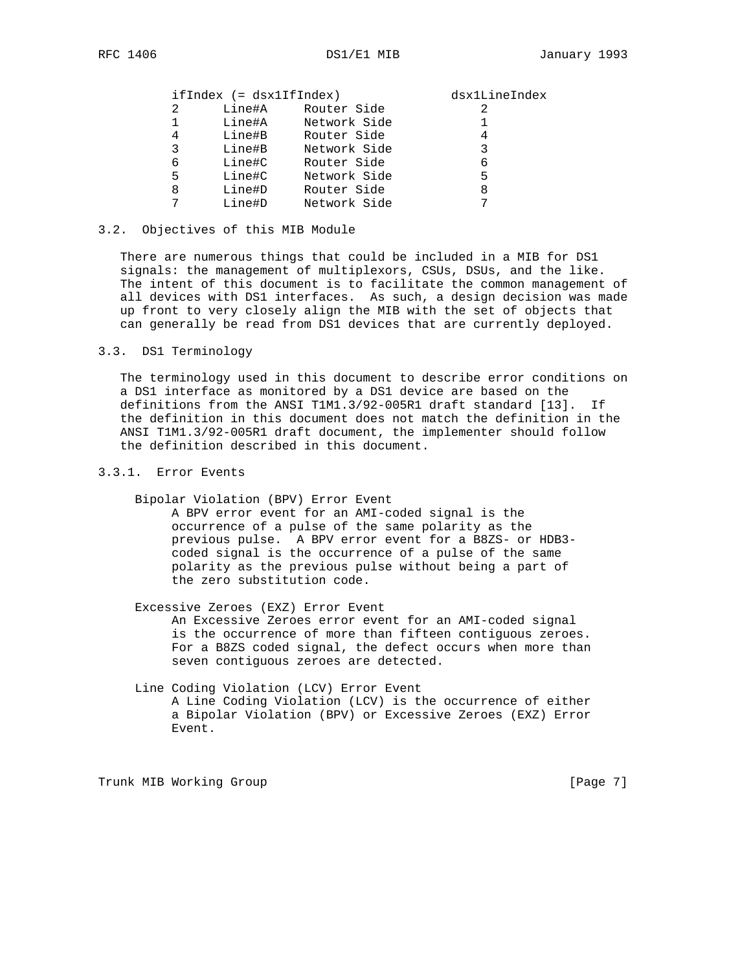# ifIndex (= dsx1IfIndex) dsx1LineIndex

|   | --------------- |              | ------- |
|---|-----------------|--------------|---------|
| 2 | Line#A          | Router Side  |         |
|   | Line#A          | Network Side |         |
| 4 | Line#B          | Router Side  |         |
| 3 | Line#B          | Network Side |         |
| 6 | Line#C          | Router Side  | 6       |
| 5 | Line#C          | Network Side | 5       |
| 8 | Line#D          | Router Side  | 8       |
|   | Line#D          | Network Side |         |
|   |                 |              |         |

## 3.2. Objectives of this MIB Module

 There are numerous things that could be included in a MIB for DS1 signals: the management of multiplexors, CSUs, DSUs, and the like. The intent of this document is to facilitate the common management of all devices with DS1 interfaces. As such, a design decision was made up front to very closely align the MIB with the set of objects that can generally be read from DS1 devices that are currently deployed.

## 3.3. DS1 Terminology

 The terminology used in this document to describe error conditions on a DS1 interface as monitored by a DS1 device are based on the definitions from the ANSI T1M1.3/92-005R1 draft standard [13]. If the definition in this document does not match the definition in the ANSI T1M1.3/92-005R1 draft document, the implementer should follow the definition described in this document.

# 3.3.1. Error Events

Bipolar Violation (BPV) Error Event

 A BPV error event for an AMI-coded signal is the occurrence of a pulse of the same polarity as the previous pulse. A BPV error event for a B8ZS- or HDB3 coded signal is the occurrence of a pulse of the same polarity as the previous pulse without being a part of the zero substitution code.

Excessive Zeroes (EXZ) Error Event

 An Excessive Zeroes error event for an AMI-coded signal is the occurrence of more than fifteen contiguous zeroes. For a B8ZS coded signal, the defect occurs when more than seven contiguous zeroes are detected.

## Line Coding Violation (LCV) Error Event A Line Coding Violation (LCV) is the occurrence of either a Bipolar Violation (BPV) or Excessive Zeroes (EXZ) Error Event.

Trunk MIB Working Group **Example 2018** [Page 7]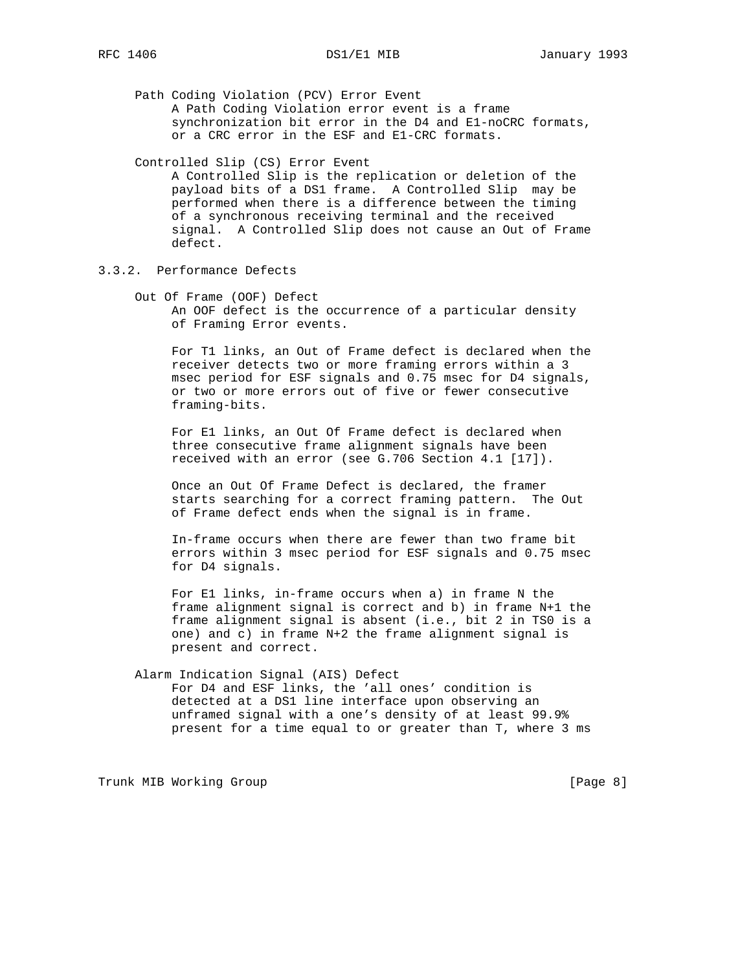Path Coding Violation (PCV) Error Event A Path Coding Violation error event is a frame synchronization bit error in the D4 and E1-noCRC formats, or a CRC error in the ESF and E1-CRC formats.

## Controlled Slip (CS) Error Event

 A Controlled Slip is the replication or deletion of the payload bits of a DS1 frame. A Controlled Slip may be performed when there is a difference between the timing of a synchronous receiving terminal and the received signal. A Controlled Slip does not cause an Out of Frame defect.

3.3.2. Performance Defects

 Out Of Frame (OOF) Defect An OOF defect is the occurrence of a particular density of Framing Error events.

 For T1 links, an Out of Frame defect is declared when the receiver detects two or more framing errors within a 3 msec period for ESF signals and 0.75 msec for D4 signals, or two or more errors out of five or fewer consecutive framing-bits.

 For E1 links, an Out Of Frame defect is declared when three consecutive frame alignment signals have been received with an error (see G.706 Section 4.1 [17]).

 Once an Out Of Frame Defect is declared, the framer starts searching for a correct framing pattern. The Out of Frame defect ends when the signal is in frame.

 In-frame occurs when there are fewer than two frame bit errors within 3 msec period for ESF signals and 0.75 msec for D4 signals.

 For E1 links, in-frame occurs when a) in frame N the frame alignment signal is correct and b) in frame N+1 the frame alignment signal is absent (i.e., bit 2 in TS0 is a one) and c) in frame N+2 the frame alignment signal is present and correct.

# Alarm Indication Signal (AIS) Defect For D4 and ESF links, the 'all ones' condition is detected at a DS1 line interface upon observing an unframed signal with a one's density of at least 99.9% present for a time equal to or greater than T, where 3 ms

Trunk MIB Working Group **Example 2018** [Page 8]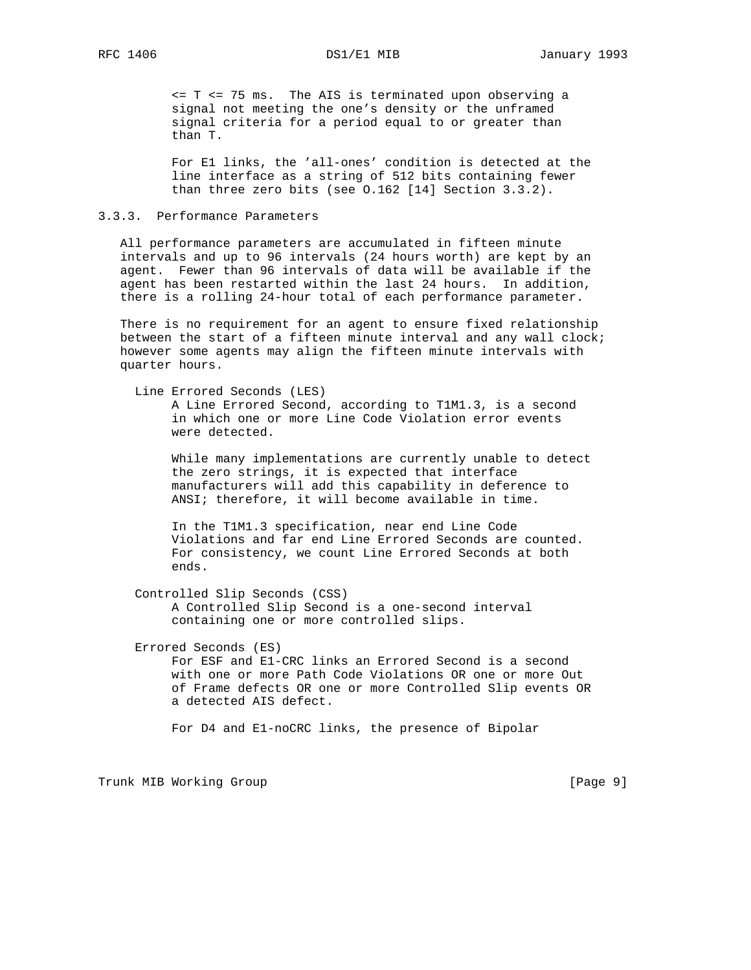<= T <= 75 ms. The AIS is terminated upon observing a signal not meeting the one's density or the unframed signal criteria for a period equal to or greater than than T.

 For E1 links, the 'all-ones' condition is detected at the line interface as a string of 512 bits containing fewer than three zero bits (see O.162 [14] Section 3.3.2).

## 3.3.3. Performance Parameters

 All performance parameters are accumulated in fifteen minute intervals and up to 96 intervals (24 hours worth) are kept by an agent. Fewer than 96 intervals of data will be available if the agent has been restarted within the last 24 hours. In addition, there is a rolling 24-hour total of each performance parameter.

 There is no requirement for an agent to ensure fixed relationship between the start of a fifteen minute interval and any wall clock; however some agents may align the fifteen minute intervals with quarter hours.

 Line Errored Seconds (LES) A Line Errored Second, according to T1M1.3, is a second in which one or more Line Code Violation error events were detected.

 While many implementations are currently unable to detect the zero strings, it is expected that interface manufacturers will add this capability in deference to ANSI; therefore, it will become available in time.

 In the T1M1.3 specification, near end Line Code Violations and far end Line Errored Seconds are counted. For consistency, we count Line Errored Seconds at both ends.

- Controlled Slip Seconds (CSS) A Controlled Slip Second is a one-second interval containing one or more controlled slips.
- Errored Seconds (ES)

 For ESF and E1-CRC links an Errored Second is a second with one or more Path Code Violations OR one or more Out of Frame defects OR one or more Controlled Slip events OR a detected AIS defect.

For D4 and E1-noCRC links, the presence of Bipolar

Trunk MIB Working Group **Example 2018** [Page 9]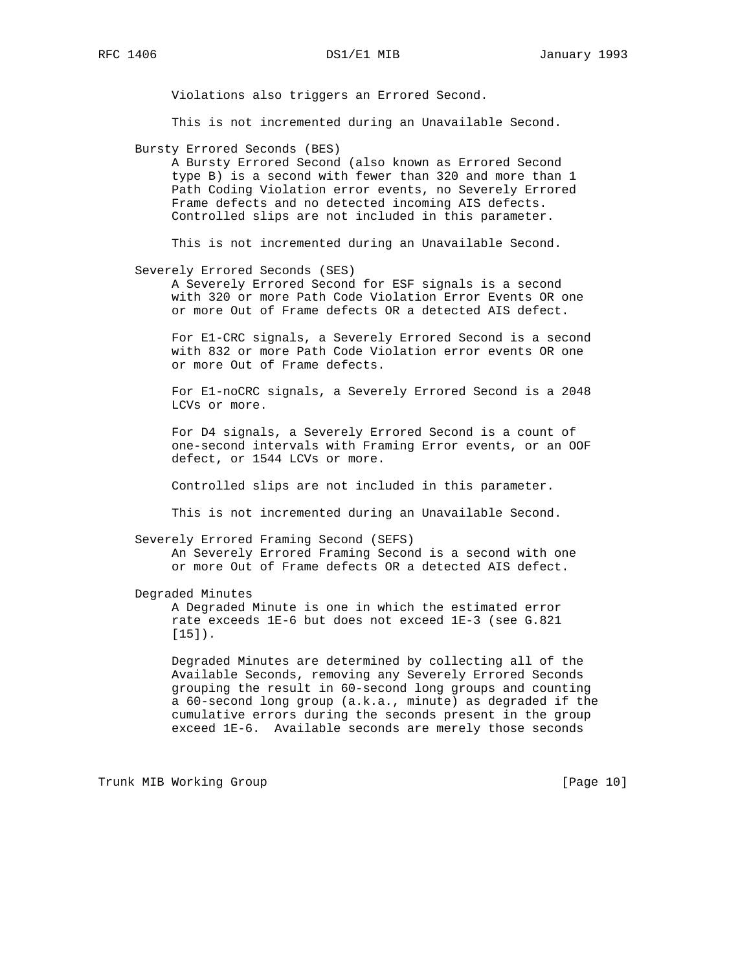Violations also triggers an Errored Second.

This is not incremented during an Unavailable Second.

Bursty Errored Seconds (BES)

 A Bursty Errored Second (also known as Errored Second type B) is a second with fewer than 320 and more than 1 Path Coding Violation error events, no Severely Errored Frame defects and no detected incoming AIS defects. Controlled slips are not included in this parameter.

This is not incremented during an Unavailable Second.

## Severely Errored Seconds (SES)

 A Severely Errored Second for ESF signals is a second with 320 or more Path Code Violation Error Events OR one or more Out of Frame defects OR a detected AIS defect.

 For E1-CRC signals, a Severely Errored Second is a second with 832 or more Path Code Violation error events OR one or more Out of Frame defects.

 For E1-noCRC signals, a Severely Errored Second is a 2048 LCVs or more.

 For D4 signals, a Severely Errored Second is a count of one-second intervals with Framing Error events, or an OOF defect, or 1544 LCVs or more.

Controlled slips are not included in this parameter.

This is not incremented during an Unavailable Second.

Severely Errored Framing Second (SEFS)

 An Severely Errored Framing Second is a second with one or more Out of Frame defects OR a detected AIS defect.

Degraded Minutes

 A Degraded Minute is one in which the estimated error rate exceeds 1E-6 but does not exceed 1E-3 (see G.821 [15]).

 Degraded Minutes are determined by collecting all of the Available Seconds, removing any Severely Errored Seconds grouping the result in 60-second long groups and counting a 60-second long group (a.k.a., minute) as degraded if the cumulative errors during the seconds present in the group exceed 1E-6. Available seconds are merely those seconds

Trunk MIB Working Group **Example 2018** [Page 10]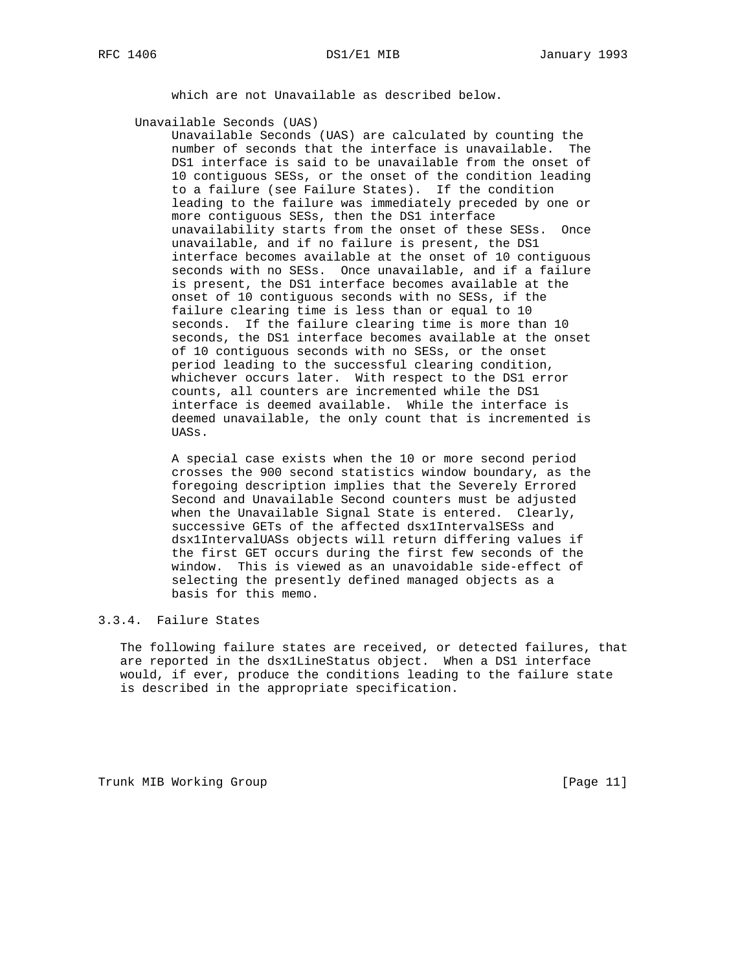which are not Unavailable as described below.

Unavailable Seconds (UAS)

 Unavailable Seconds (UAS) are calculated by counting the number of seconds that the interface is unavailable. The DS1 interface is said to be unavailable from the onset of 10 contiguous SESs, or the onset of the condition leading to a failure (see Failure States). If the condition leading to the failure was immediately preceded by one or more contiguous SESs, then the DS1 interface unavailability starts from the onset of these SESs. Once unavailable, and if no failure is present, the DS1 interface becomes available at the onset of 10 contiguous seconds with no SESs. Once unavailable, and if a failure is present, the DS1 interface becomes available at the onset of 10 contiguous seconds with no SESs, if the failure clearing time is less than or equal to 10 seconds. If the failure clearing time is more than 10 seconds, the DS1 interface becomes available at the onset of 10 contiguous seconds with no SESs, or the onset period leading to the successful clearing condition, whichever occurs later. With respect to the DS1 error counts, all counters are incremented while the DS1 interface is deemed available. While the interface is deemed unavailable, the only count that is incremented is UASs.

 A special case exists when the 10 or more second period crosses the 900 second statistics window boundary, as the foregoing description implies that the Severely Errored Second and Unavailable Second counters must be adjusted when the Unavailable Signal State is entered. Clearly, successive GETs of the affected dsx1IntervalSESs and dsx1IntervalUASs objects will return differing values if the first GET occurs during the first few seconds of the window. This is viewed as an unavoidable side-effect of selecting the presently defined managed objects as a basis for this memo.

## 3.3.4. Failure States

 The following failure states are received, or detected failures, that are reported in the dsx1LineStatus object. When a DS1 interface would, if ever, produce the conditions leading to the failure state is described in the appropriate specification.

Trunk MIB Working Group **Example 2018** [Page 11]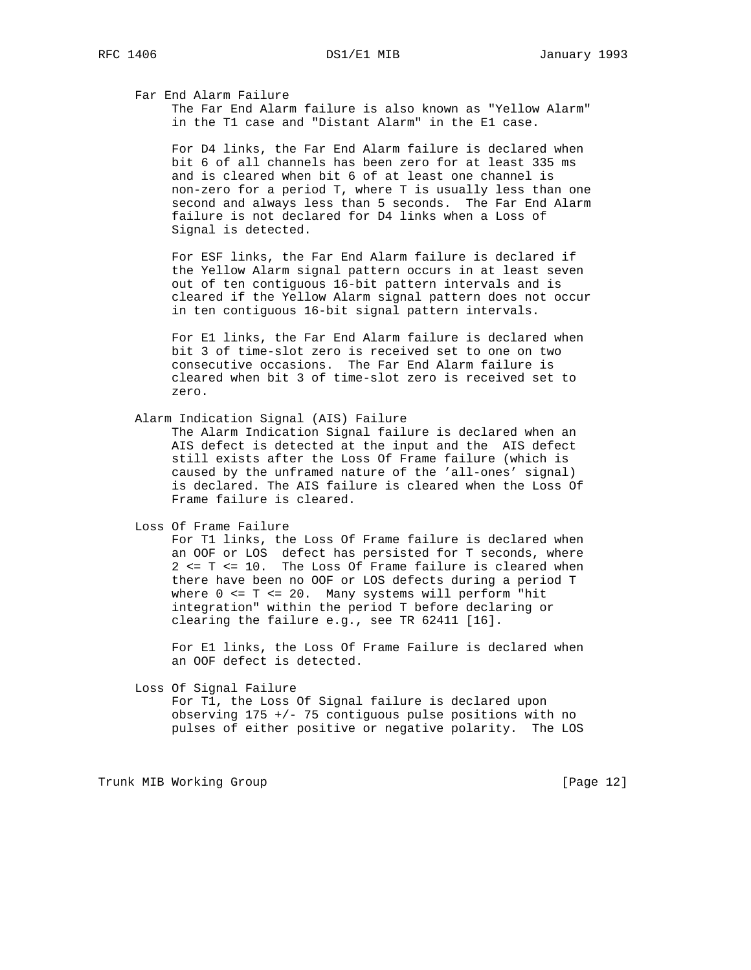Far End Alarm Failure

 The Far End Alarm failure is also known as "Yellow Alarm" in the T1 case and "Distant Alarm" in the E1 case.

 For D4 links, the Far End Alarm failure is declared when bit 6 of all channels has been zero for at least 335 ms and is cleared when bit 6 of at least one channel is non-zero for a period T, where T is usually less than one second and always less than 5 seconds. The Far End Alarm failure is not declared for D4 links when a Loss of Signal is detected.

 For ESF links, the Far End Alarm failure is declared if the Yellow Alarm signal pattern occurs in at least seven out of ten contiguous 16-bit pattern intervals and is cleared if the Yellow Alarm signal pattern does not occur in ten contiguous 16-bit signal pattern intervals.

 For E1 links, the Far End Alarm failure is declared when bit 3 of time-slot zero is received set to one on two consecutive occasions. The Far End Alarm failure is cleared when bit 3 of time-slot zero is received set to zero.

Alarm Indication Signal (AIS) Failure

 The Alarm Indication Signal failure is declared when an AIS defect is detected at the input and the AIS defect still exists after the Loss Of Frame failure (which is caused by the unframed nature of the 'all-ones' signal) is declared. The AIS failure is cleared when the Loss Of Frame failure is cleared.

Loss Of Frame Failure

 For T1 links, the Loss Of Frame failure is declared when an OOF or LOS defect has persisted for T seconds, where 2 <= T <= 10. The Loss Of Frame failure is cleared when there have been no OOF or LOS defects during a period T where 0 <= T <= 20. Many systems will perform "hit integration" within the period T before declaring or clearing the failure e.g., see TR 62411 [16].

 For E1 links, the Loss Of Frame Failure is declared when an OOF defect is detected.

Loss Of Signal Failure

 For T1, the Loss Of Signal failure is declared upon observing 175 +/- 75 contiguous pulse positions with no pulses of either positive or negative polarity. The LOS

Trunk MIB Working Group **Example 2018** [Page 12]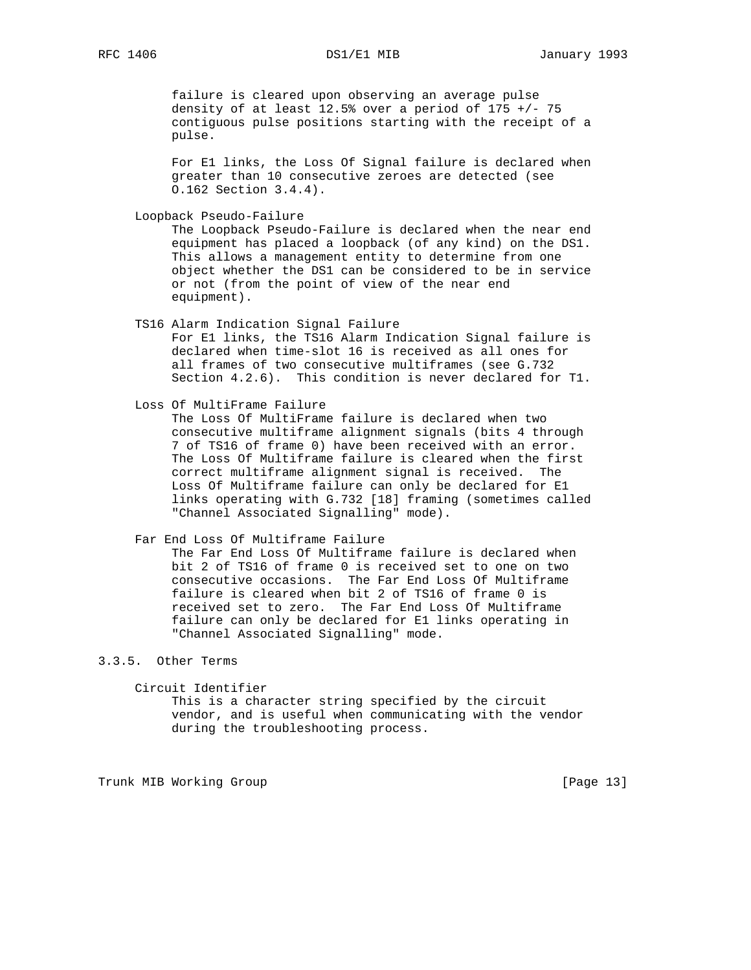failure is cleared upon observing an average pulse density of at least  $12.5$ % over a period of  $175$  +/- 75 contiguous pulse positions starting with the receipt of a pulse.

 For E1 links, the Loss Of Signal failure is declared when greater than 10 consecutive zeroes are detected (see O.162 Section 3.4.4).

Loopback Pseudo-Failure

 The Loopback Pseudo-Failure is declared when the near end equipment has placed a loopback (of any kind) on the DS1. This allows a management entity to determine from one object whether the DS1 can be considered to be in service or not (from the point of view of the near end equipment).

 TS16 Alarm Indication Signal Failure For E1 links, the TS16 Alarm Indication Signal failure is declared when time-slot 16 is received as all ones for all frames of two consecutive multiframes (see G.732 Section 4.2.6). This condition is never declared for T1.

Loss Of MultiFrame Failure

 The Loss Of MultiFrame failure is declared when two consecutive multiframe alignment signals (bits 4 through 7 of TS16 of frame 0) have been received with an error. The Loss Of Multiframe failure is cleared when the first correct multiframe alignment signal is received. The Loss Of Multiframe failure can only be declared for E1 links operating with G.732 [18] framing (sometimes called "Channel Associated Signalling" mode).

 Far End Loss Of Multiframe Failure The Far End Loss Of Multiframe failure is declared when

 bit 2 of TS16 of frame 0 is received set to one on two consecutive occasions. The Far End Loss Of Multiframe failure is cleared when bit 2 of TS16 of frame 0 is received set to zero. The Far End Loss Of Multiframe failure can only be declared for E1 links operating in "Channel Associated Signalling" mode.

## 3.3.5. Other Terms

Circuit Identifier

 This is a character string specified by the circuit vendor, and is useful when communicating with the vendor during the troubleshooting process.

Trunk MIB Working Group **Example 2018** [Page 13]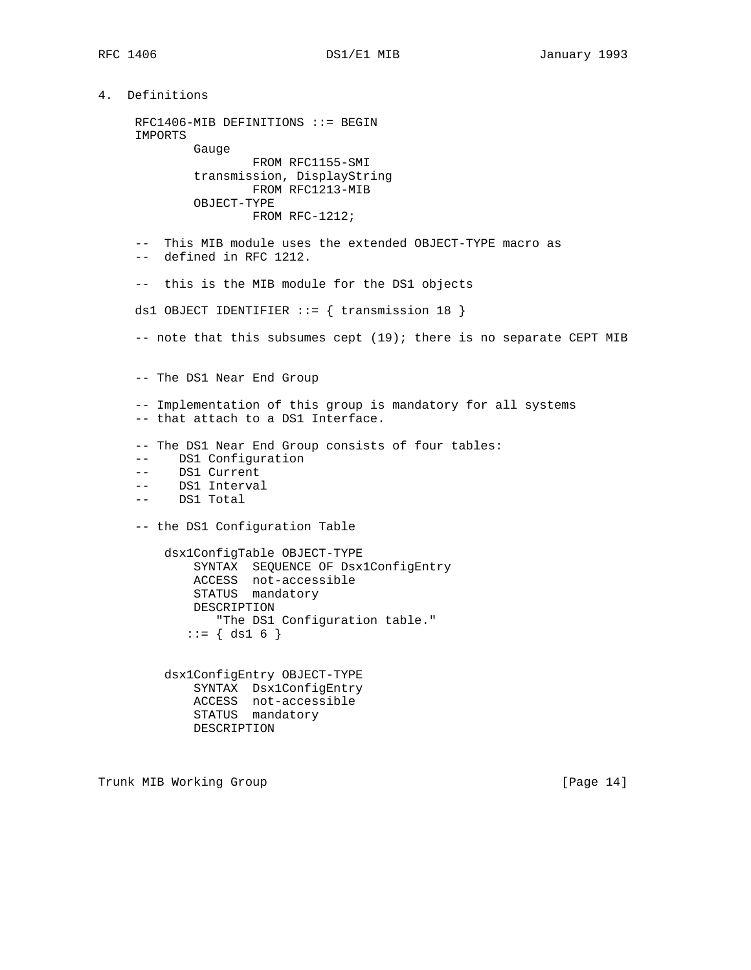```
4. Definitions
     RFC1406-MIB DEFINITIONS ::= BEGIN
      IMPORTS
             Gauge
                     FROM RFC1155-SMI
             transmission, DisplayString
                     FROM RFC1213-MIB
             OBJECT-TYPE
                     FROM RFC-1212;
      -- This MIB module uses the extended OBJECT-TYPE macro as
      -- defined in RFC 1212.
      -- this is the MIB module for the DS1 objects
    ds1 OBJECT IDENTIFIER ::= { transmission 18 }
     -- note that this subsumes cept (19); there is no separate CEPT MIB
     -- The DS1 Near End Group
     -- Implementation of this group is mandatory for all systems
     -- that attach to a DS1 Interface.
      -- The DS1 Near End Group consists of four tables:
      -- DS1 Configuration
      -- DS1 Current
      -- DS1 Interval
      -- DS1 Total
      -- the DS1 Configuration Table
         dsx1ConfigTable OBJECT-TYPE
             SYNTAX SEQUENCE OF Dsx1ConfigEntry
 ACCESS not-accessible
STATUS mandatory
             DESCRIPTION
                "The DS1 Configuration table."
            ::= \{ ds1 6 \} dsx1ConfigEntry OBJECT-TYPE
             SYNTAX Dsx1ConfigEntry
             ACCESS not-accessible
             STATUS mandatory
             DESCRIPTION
```
Trunk MIB Working Group **Example 2018** [Page 14]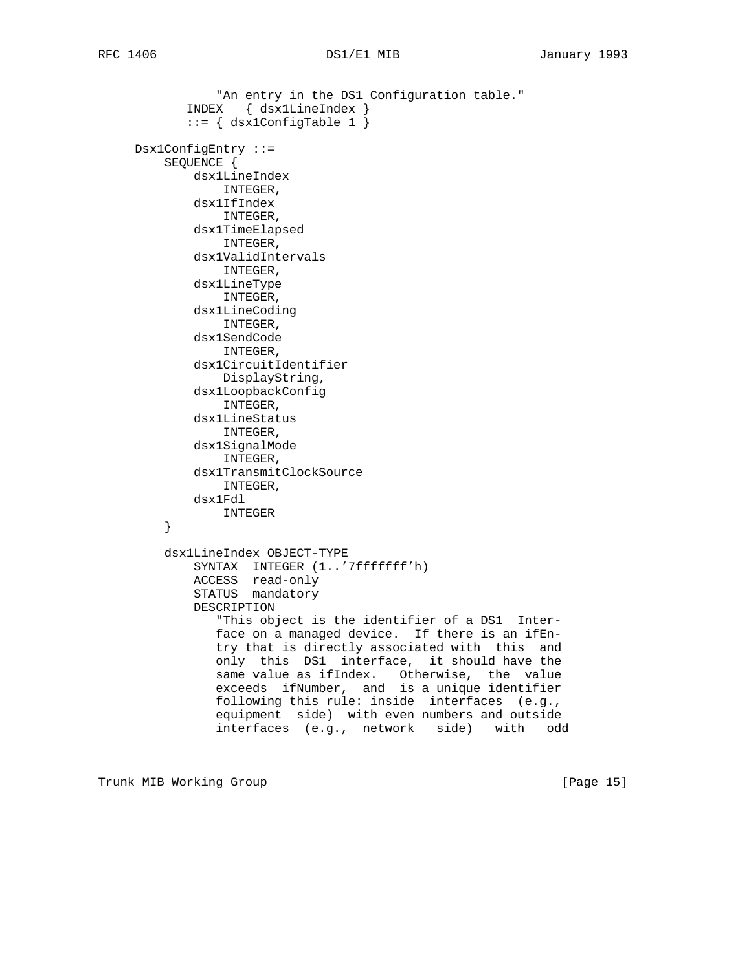```
"An entry in the DS1 Configuration table."
 INDEX { dsx1LineIndex }
 ::= { dsx1ConfigTable 1 }
     Dsx1ConfigEntry ::=
         SEQUENCE {
             dsx1LineIndex
                INTEGER,
             dsx1IfIndex
                INTEGER,
             dsx1TimeElapsed
                INTEGER,
             dsx1ValidIntervals
                INTEGER,
             dsx1LineType
                INTEGER,
             dsx1LineCoding
                INTEGER,
             dsx1SendCode
                INTEGER,
             dsx1CircuitIdentifier
                DisplayString,
             dsx1LoopbackConfig
                INTEGER,
             dsx1LineStatus
                 INTEGER,
             dsx1SignalMode
                 INTEGER,
             dsx1TransmitClockSource
                INTEGER,
             dsx1Fdl
         INTEGER
 }
         dsx1LineIndex OBJECT-TYPE
             SYNTAX INTEGER (1..'7fffffff'h)
             ACCESS read-only
             STATUS mandatory
             DESCRIPTION
                "This object is the identifier of a DS1 Inter-
                face on a managed device. If there is an ifEn-
                try that is directly associated with this and
                only this DS1 interface, it should have the
                same value as ifIndex. Otherwise, the value
                exceeds ifNumber, and is a unique identifier
                following this rule: inside interfaces (e.g.,
                equipment side) with even numbers and outside
                interfaces (e.g., network side) with odd
```
Trunk MIB Working Group **Example 2018** [Page 15]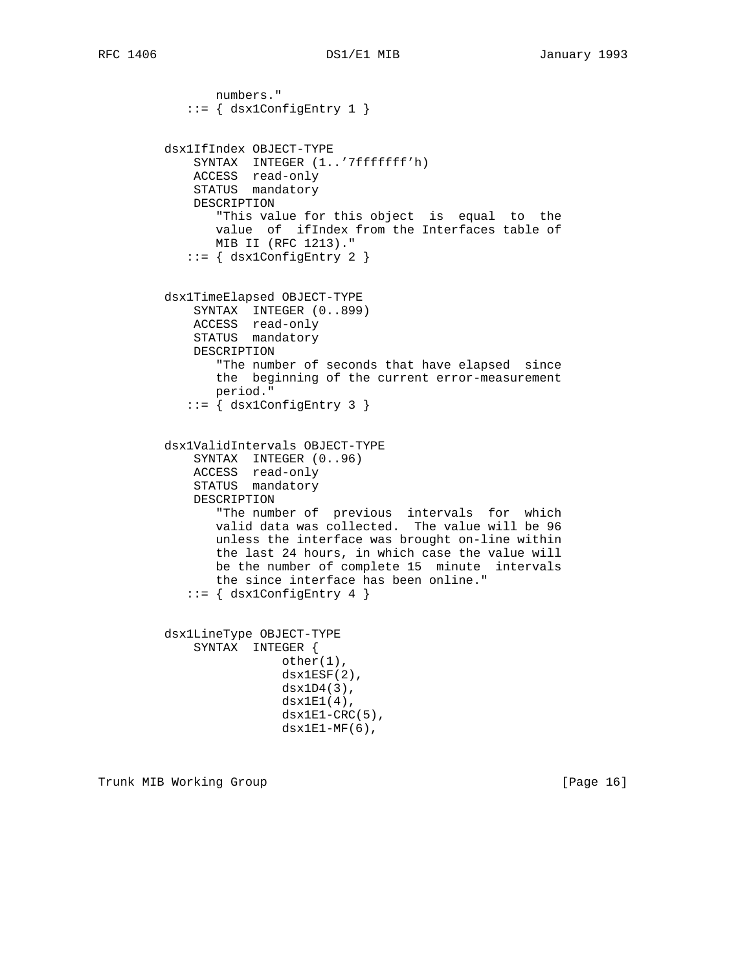```
 numbers."
           ::= { dsx1ConfigEntry 1 }
         dsx1IfIndex OBJECT-TYPE
             SYNTAX INTEGER (1..'7fffffff'h)
             ACCESS read-only
             STATUS mandatory
             DESCRIPTION
                "This value for this object is equal to the
                value of ifIndex from the Interfaces table of
                MIB II (RFC 1213)."
            ::= { dsx1ConfigEntry 2 }
         dsx1TimeElapsed OBJECT-TYPE
             SYNTAX INTEGER (0..899)
             ACCESS read-only
             STATUS mandatory
             DESCRIPTION
                "The number of seconds that have elapsed since
                the beginning of the current error-measurement
                period."
             ::= { dsx1ConfigEntry 3 }
         dsx1ValidIntervals OBJECT-TYPE
             SYNTAX INTEGER (0..96)
 ACCESS read-only
STATUS mandatory
             DESCRIPTION
                "The number of previous intervals for which
                valid data was collected. The value will be 96
                unless the interface was brought on-line within
                the last 24 hours, in which case the value will
                be the number of complete 15 minute intervals
                the since interface has been online."
           ::= { dsx1ConfigEntry 4 }
         dsx1LineType OBJECT-TYPE
             SYNTAX INTEGER {
                         other(1),
                         dsx1ESF(2),
                        dsx1D4(3),
                         dsx1E1(4),
                        dsx1E1-CRC(5),
                        dx1E1-MF(6),
```
Trunk MIB Working Group **Example 2018** [Page 16]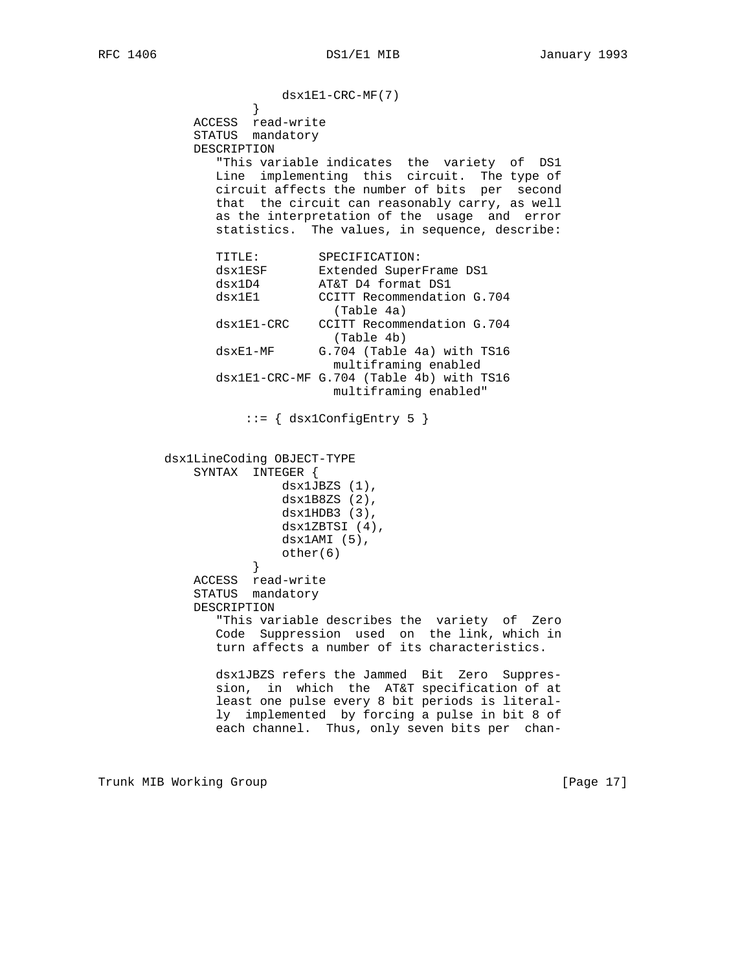$dsx1E1-CRC-MF(7)$ } } ACCESS read-write STATUS mandatory DESCRIPTION "This variable indicates the variety of DS1 Line implementing this circuit. The type of circuit affects the number of bits per second that the circuit can reasonably carry, as well as the interpretation of the usage and error statistics. The values, in sequence, describe: TITLE: SPECIFICATION:<br>dsx1ESF Extended Super:<br>dsx1D4 AT&T D4 format dsx1ESF Extended SuperFrame DS1 dsx1D4 AT&T D4 format DS1 dsx1E1 CCITT Recommendation G.704 (Table 4a) dsx1E1-CRC CCITT Recommendation G.704 (Table 4b)<br>dsxEl-MF G.704 (Table G.704 (Table 4a) with TS16 multiframing enabled dsx1E1-CRC-MF G.704 (Table 4b) with TS16 multiframing enabled" ::= { dsx1ConfigEntry 5 } dsx1LineCoding OBJECT-TYPE SYNTAX INTEGER { dsx1JBZS (1), dsx1B8ZS (2),  $dsx1HDB3(3),$  dsx1ZBTSI (4), dsx1AMI (5),  $other(6)$  } ACCESS read-write STATUS mandatory DESCRIPTION "This variable describes the variety of Zero Code Suppression used on the link, which in turn affects a number of its characteristics. dsx1JBZS refers the Jammed Bit Zero Suppres sion, in which the AT&T specification of at least one pulse every 8 bit periods is literal ly implemented by forcing a pulse in bit 8 of each channel. Thus, only seven bits per chan-

Trunk MIB Working Group **Example 2018** [Page 17]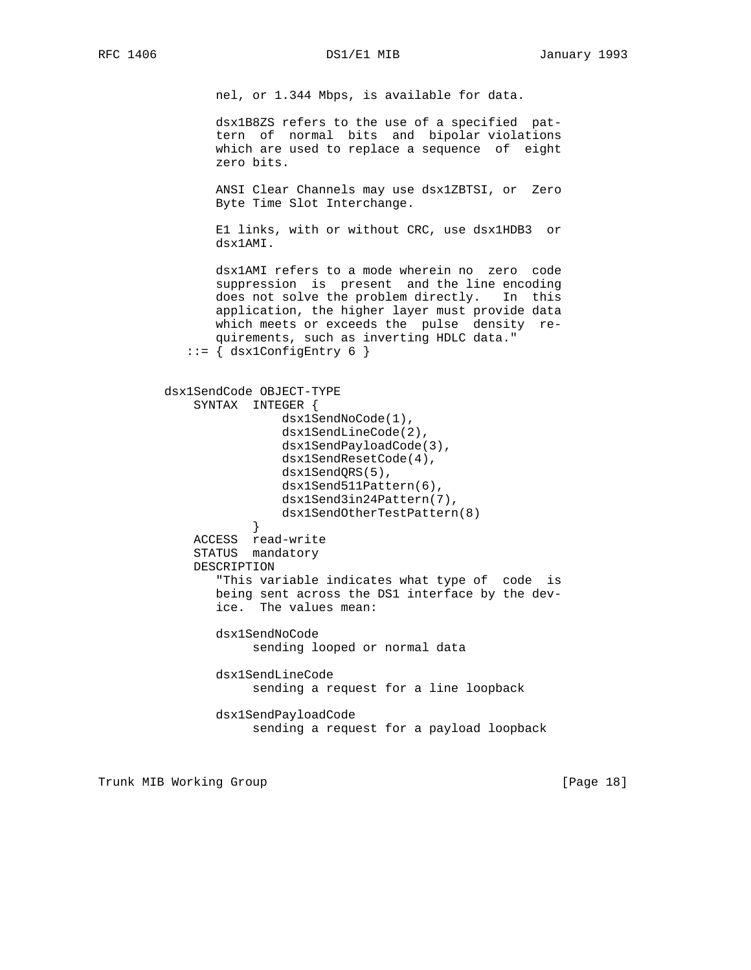nel, or 1.344 Mbps, is available for data.

 dsx1B8ZS refers to the use of a specified pat tern of normal bits and bipolar violations which are used to replace a sequence of eight zero bits.

 ANSI Clear Channels may use dsx1ZBTSI, or Zero Byte Time Slot Interchange.

 E1 links, with or without CRC, use dsx1HDB3 or dsx1AMI.

 dsx1AMI refers to a mode wherein no zero code suppression is present and the line encoding does not solve the problem directly. In this application, the higher layer must provide data which meets or exceeds the pulse density re quirements, such as inverting HDLC data."  $::=$  { dsx1ConfigEntry 6 }

```
 dsx1SendCode OBJECT-TYPE
             SYNTAX INTEGER {
                         dsx1SendNoCode(1),
                         dsx1SendLineCode(2),
                         dsx1SendPayloadCode(3),
                         dsx1SendResetCode(4),
                         dsx1SendQRS(5),
                        dsx1Send511Pattern(6),
                         dsx1Send3in24Pattern(7),
                    dsx1SendOtherTestPattern(8)<br>}
 }
             ACCESS read-write
             STATUS mandatory
             DESCRIPTION
                "This variable indicates what type of code is
                being sent across the DS1 interface by the dev-
                ice. The values mean:
                dsx1SendNoCode
```
sending looped or normal data

 dsx1SendLineCode sending a request for a line loopback

 dsx1SendPayloadCode sending a request for a payload loopback

Trunk MIB Working Group **Example 2018** [Page 18]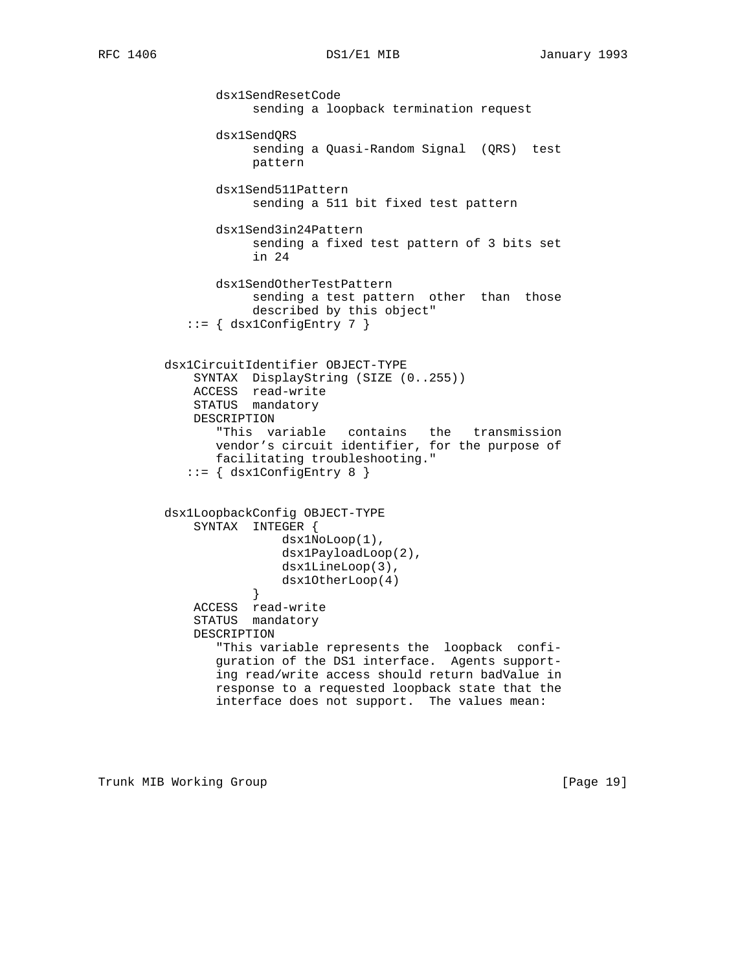dsx1SendResetCode sending a loopback termination request dsx1SendQRS sending a Quasi-Random Signal (QRS) test pattern dsx1Send511Pattern sending a 511 bit fixed test pattern dsx1Send3in24Pattern sending a fixed test pattern of 3 bits set in 24 dsx1SendOtherTestPattern sending a test pattern other than those described by this object"  $::=$  { dsx1ConfigEntry 7 } dsx1CircuitIdentifier OBJECT-TYPE SYNTAX DisplayString (SIZE (0..255)) ACCESS read-write STATUS mandatory DESCRIPTION "This variable contains the transmission vendor's circuit identifier, for the purpose of facilitating troubleshooting." ::= { dsx1ConfigEntry 8 } dsx1LoopbackConfig OBJECT-TYPE SYNTAX INTEGER { dsx1NoLoop(1), dsx1PayloadLoop(2), dsx1LineLoop(3), dsx10therLoop(4)<br>} } ACCESS read-write STATUS mandatory DESCRIPTION "This variable represents the loopback confi guration of the DS1 interface. Agents support ing read/write access should return badValue in response to a requested loopback state that the interface does not support. The values mean:

Trunk MIB Working Group **Example 2018** [Page 19]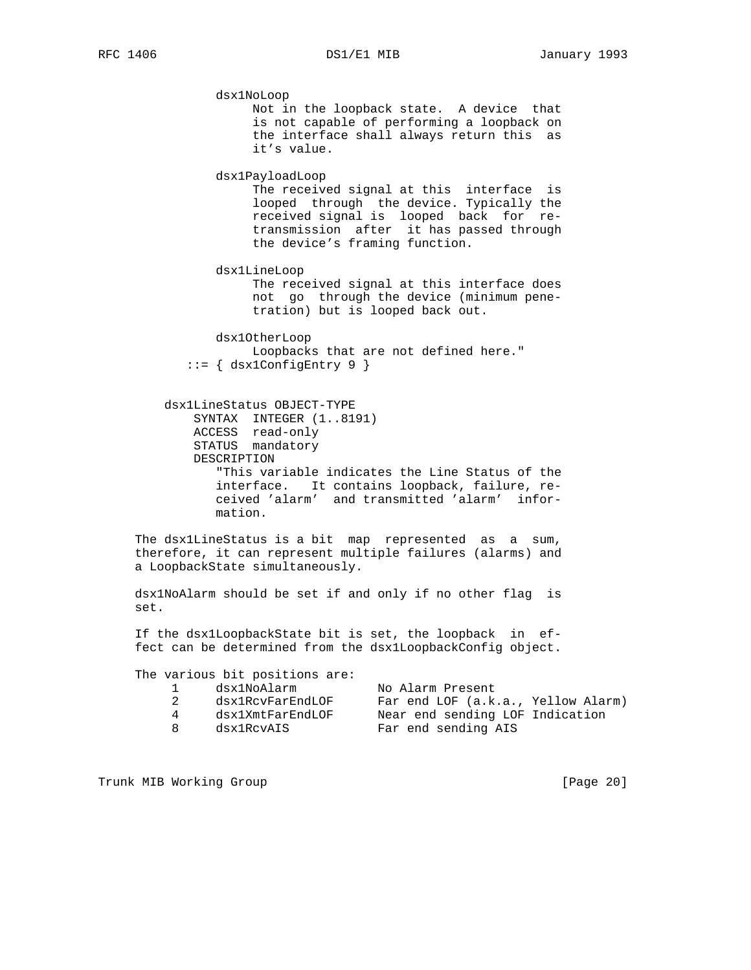dsx1NoLoop Not in the loopback state. A device that is not capable of performing a loopback on the interface shall always return this as it's value. dsx1PayloadLoop The received signal at this interface is looped through the device. Typically the received signal is looped back for re transmission after it has passed through the device's framing function. dsx1LineLoop The received signal at this interface does not go through the device (minimum pene tration) but is looped back out. dsx1OtherLoop Loopbacks that are not defined here." ::= { dsx1ConfigEntry 9 } dsx1LineStatus OBJECT-TYPE SYNTAX INTEGER (1..8191) ACCESS read-only STATUS mandatory DESCRIPTION "This variable indicates the Line Status of the interface. It contains loopback, failure, re ceived 'alarm' and transmitted 'alarm' infor mation. The dsx1LineStatus is a bit map represented as a sum, therefore, it can represent multiple failures (alarms) and a LoopbackState simultaneously. dsx1NoAlarm should be set if and only if no other flag is set. If the dsx1LoopbackState bit is set, the loopback in ef fect can be determined from the dsx1LoopbackConfig object. The various bit positions are: 1 dsx1NoAlarm No Alarm Present 2 dsx1RcvFarEndLOF Far end LOF (a.k.a., Yellow Alarm) 4 dsx1XmtFarEndLOF Near end sending LOF Indication 8 dsx1RcvAIS Far end sending AIS

Trunk MIB Working Group [Page 20]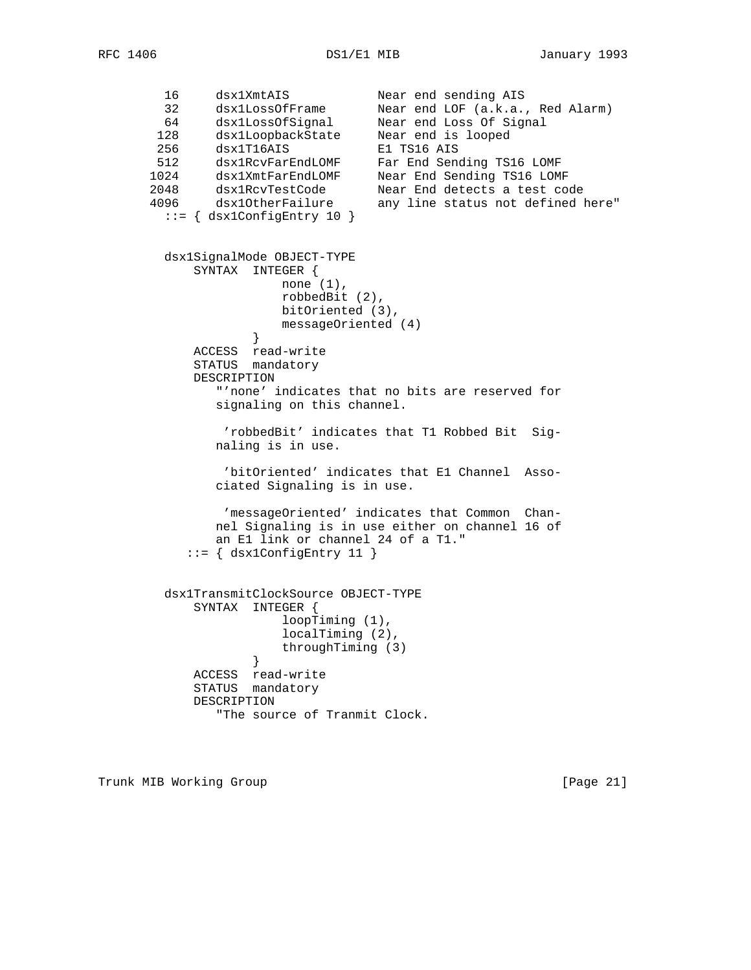16 dsx1XmtAIS Near end sending AIS 32 dsx1LossOfFrame Near end LOF (a.k.a., Red Alarm) 64 dsx1LossOfSignal Near end Loss Of Signal 128 dsx1LoopbackState Near end is looped 256 dsx1T16AIS E1 TS16 AIS 512 dsx1RcvFarEndLOMF Far End Sending TS16 LOMF 1024 dsx1XmtFarEndLOMF Near End Sending TS16 LOMF 2048 dsx1RcvTestCode Near End detects a test code 4096 dsx1OtherFailure any line status not defined here" ::= { dsx1ConfigEntry 10 } dsx1SignalMode OBJECT-TYPE SYNTAX INTEGER { none (1), robbedBit (2), bitOriented (3), messageOriented (4)<br>} } ACCESS read-write STATUS mandatory DESCRIPTION "'none' indicates that no bits are reserved for signaling on this channel. 'robbedBit' indicates that T1 Robbed Bit Sig naling is in use. 'bitOriented' indicates that E1 Channel Asso ciated Signaling is in use. 'messageOriented' indicates that Common Chan nel Signaling is in use either on channel 16 of an E1 link or channel 24 of a T1."  $::=$  { dsx1ConfigEntry 11 } dsx1TransmitClockSource OBJECT-TYPE SYNTAX INTEGER { loopTiming (1), localTiming (2), throughTiming (3)<br>} } ACCESS read-write STATUS mandatory DESCRIPTION "The source of Tranmit Clock.

Trunk MIB Working Group **Example 21** and the control of the control of  $[Page 21]$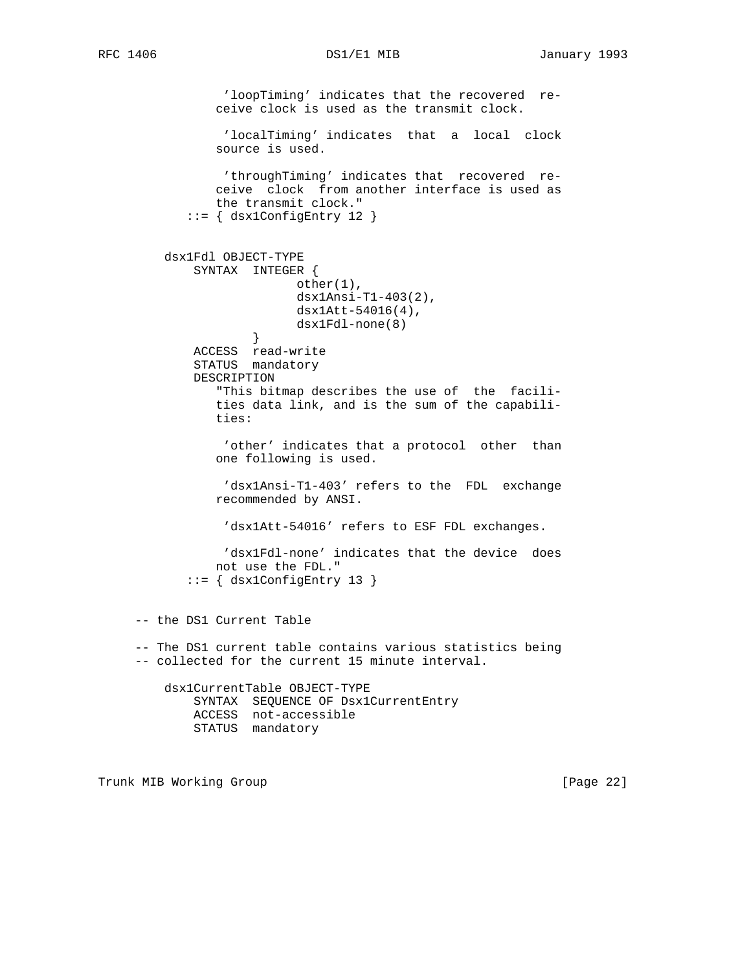'loopTiming' indicates that the recovered re ceive clock is used as the transmit clock. 'localTiming' indicates that a local clock source is used. 'throughTiming' indicates that recovered re ceive clock from another interface is used as the transmit clock." ::= { dsx1ConfigEntry 12 } dsx1Fdl OBJECT-TYPE SYNTAX INTEGER { other(1), dsx1Ansi-T1-403(2), dsx1Att-54016(4), dsx1Fdl-none(8)<br>} } ACCESS read-write STATUS mandatory DESCRIPTION "This bitmap describes the use of the facili ties data link, and is the sum of the capabili ties: 'other' indicates that a protocol other than one following is used. 'dsx1Ansi-T1-403' refers to the FDL exchange recommended by ANSI. 'dsx1Att-54016' refers to ESF FDL exchanges. 'dsx1Fdl-none' indicates that the device does not use the FDL." ::= { dsx1ConfigEntry 13 } -- the DS1 Current Table -- The DS1 current table contains various statistics being -- collected for the current 15 minute interval. dsx1CurrentTable OBJECT-TYPE SYNTAX SEQUENCE OF Dsx1CurrentEntry ACCESS not-accessible STATUS mandatory

Trunk MIB Working Group **Example 22** and the control of the control of the control of  $[Page 22]$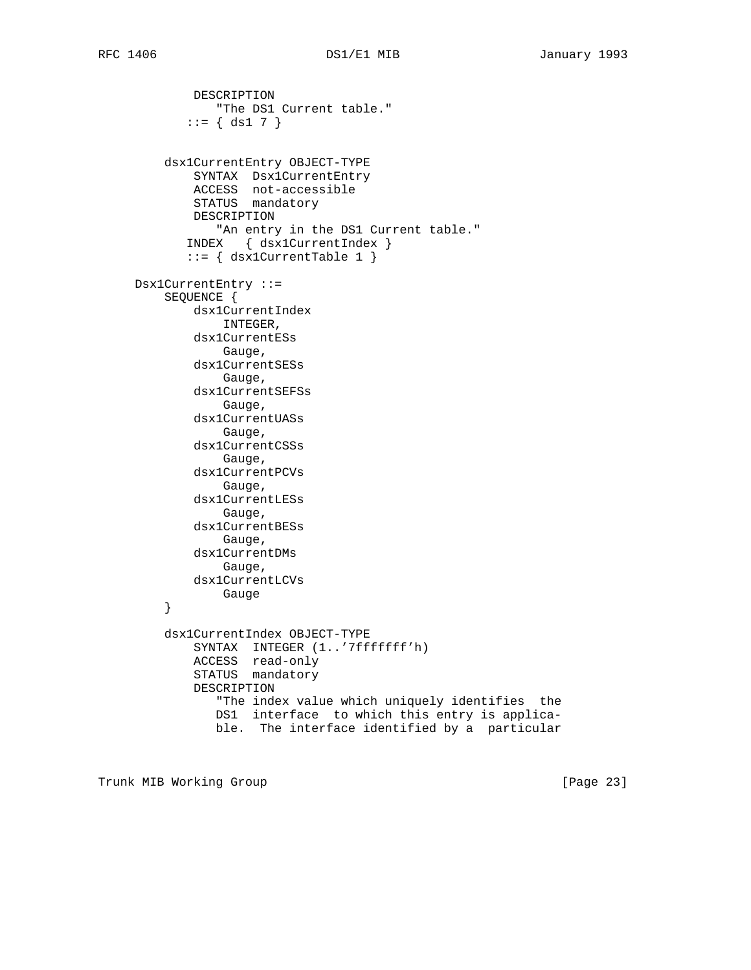DESCRIPTION "The DS1 Current table."  $::= \{ ds1 7 \}$  dsx1CurrentEntry OBJECT-TYPE SYNTAX Dsx1CurrentEntry ACCESS not-accessible STATUS mandatory DESCRIPTION "An entry in the DS1 Current table." INDEX { dsx1CurrentIndex } ::= { dsx1CurrentTable 1 } Dsx1CurrentEntry ::= SEQUENCE { dsx1CurrentIndex INTEGER, dsx1CurrentESs Gauge, dsx1CurrentSESs Gauge, dsx1CurrentSEFSs Gauge, dsx1CurrentUASs Gauge, dsx1CurrentCSSs Gauge, dsx1CurrentPCVs Gauge, dsx1CurrentLESs Gauge, dsx1CurrentBESs Gauge, dsx1CurrentDMs Gauge, dsx1CurrentLCVs }<br>} Gauge } dsx1CurrentIndex OBJECT-TYPE SYNTAX INTEGER (1..'7fffffff'h) ACCESS read-only STATUS mandatory DESCRIPTION "The index value which uniquely identifies the DS1 interface to which this entry is applica ble. The interface identified by a particular

Trunk MIB Working Group **Example 23** and the control of the control of  $[Page 23]$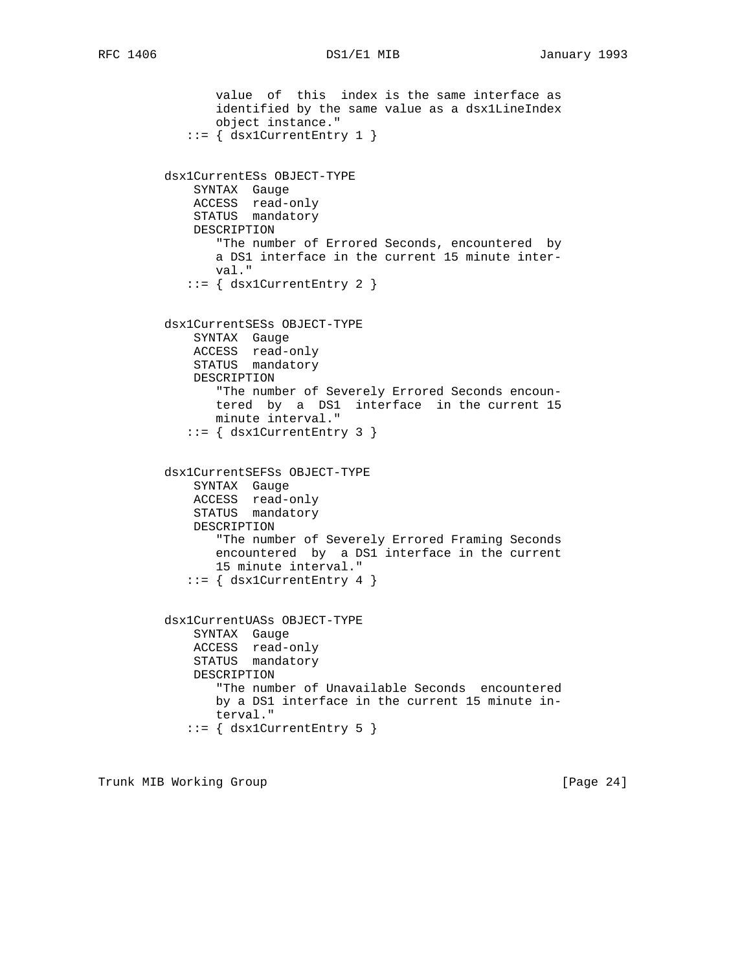```
 value of this index is the same interface as
        identified by the same value as a dsx1LineIndex
        object instance."
    ::= { dsx1CurrentEntry 1 }
 dsx1CurrentESs OBJECT-TYPE
    SYNTAX Gauge
    ACCESS read-only
     STATUS mandatory
     DESCRIPTION
        "The number of Errored Seconds, encountered by
        a DS1 interface in the current 15 minute inter-
        val."
    ::= { dsx1CurrentEntry 2 }
 dsx1CurrentSESs OBJECT-TYPE
    SYNTAX Gauge
    ACCESS read-only
    STATUS mandatory
     DESCRIPTION
        "The number of Severely Errored Seconds encoun-
        tered by a DS1 interface in the current 15
        minute interval."
   ::= { dsx1CurrentEntry 3 }
 dsx1CurrentSEFSs OBJECT-TYPE
     SYNTAX Gauge
    ACCESS read-only
    STATUS mandatory
    DESCRIPTION
        "The number of Severely Errored Framing Seconds
        encountered by a DS1 interface in the current
        15 minute interval."
    ::= { dsx1CurrentEntry 4 }
 dsx1CurrentUASs OBJECT-TYPE
     SYNTAX Gauge
     ACCESS read-only
     STATUS mandatory
     DESCRIPTION
        "The number of Unavailable Seconds encountered
       by a DS1 interface in the current 15 minute in-
        terval."
   ::= { dsx1CurrentEntry 5 }
```
Trunk MIB Working Group **Example 24** and the set of the set of the set of the set of the set of the set of the set of the set of the set of the set of the set of the set of the set of the set of the set of the set of the s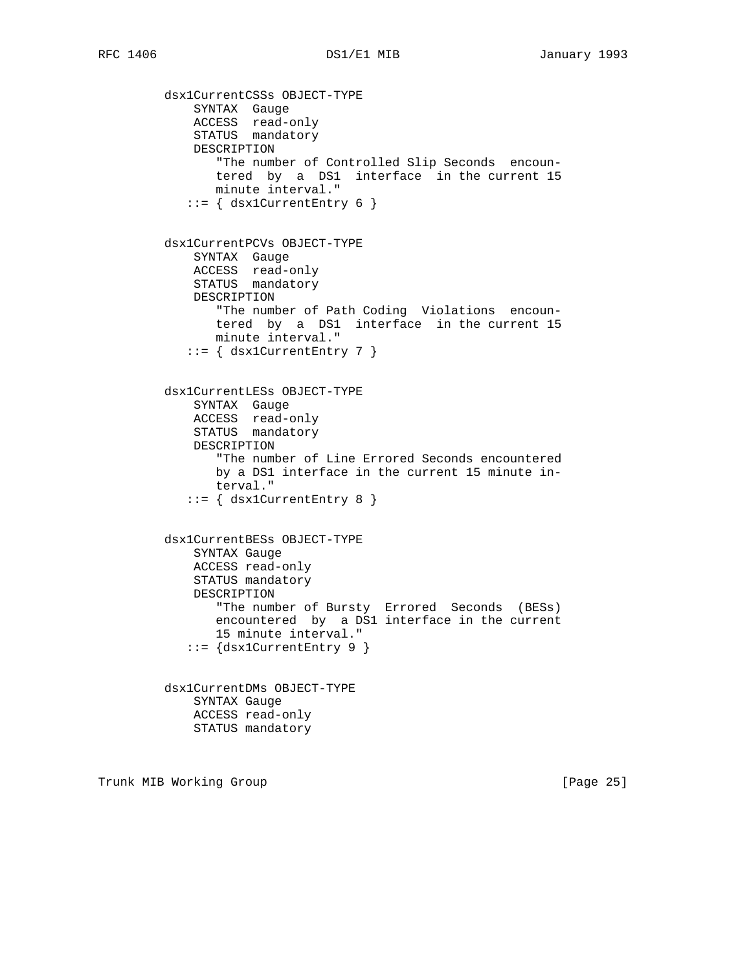dsx1CurrentCSSs OBJECT-TYPE SYNTAX Gauge ACCESS read-only STATUS mandatory DESCRIPTION "The number of Controlled Slip Seconds encoun tered by a DS1 interface in the current 15 minute interval."  $::=$  { dsx1CurrentEntry 6 } dsx1CurrentPCVs OBJECT-TYPE SYNTAX Gauge ACCESS read-only STATUS mandatory DESCRIPTION "The number of Path Coding Violations encoun tered by a DS1 interface in the current 15 minute interval."  $::=$  { dsx1CurrentEntry 7 } dsx1CurrentLESs OBJECT-TYPE SYNTAX Gauge ACCESS read-only STATUS mandatory DESCRIPTION "The number of Line Errored Seconds encountered by a DS1 interface in the current 15 minute in terval." ::= { dsx1CurrentEntry 8 } dsx1CurrentBESs OBJECT-TYPE SYNTAX Gauge ACCESS read-only STATUS mandatory DESCRIPTION "The number of Bursty Errored Seconds (BESs) encountered by a DS1 interface in the current 15 minute interval." ::= {dsx1CurrentEntry 9 } dsx1CurrentDMs OBJECT-TYPE SYNTAX Gauge ACCESS read-only STATUS mandatory

Trunk MIB Working Group **Example 26** (Page 25)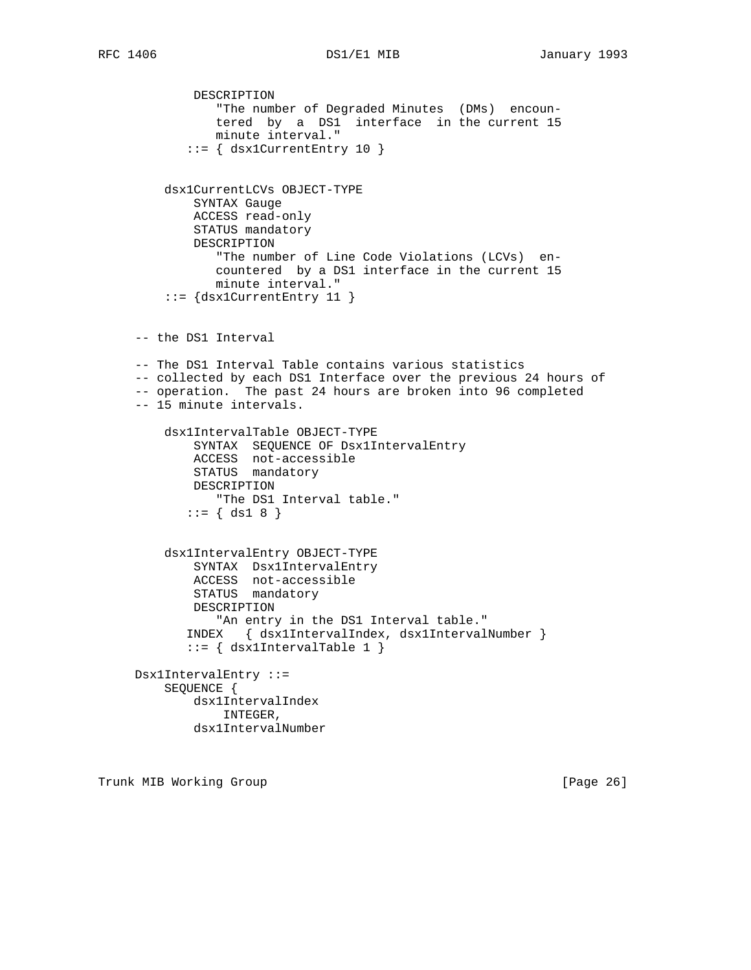```
 DESCRIPTION
                "The number of Degraded Minutes (DMs) encoun-
                tered by a DS1 interface in the current 15
                minute interval."
            ::= { dsx1CurrentEntry 10 }
         dsx1CurrentLCVs OBJECT-TYPE
             SYNTAX Gauge
             ACCESS read-only
             STATUS mandatory
             DESCRIPTION
                "The number of Line Code Violations (LCVs) en-
                countered by a DS1 interface in the current 15
                minute interval."
         ::= {dsx1CurrentEntry 11 }
     -- the DS1 Interval
     -- The DS1 Interval Table contains various statistics
     -- collected by each DS1 Interface over the previous 24 hours of
     -- operation. The past 24 hours are broken into 96 completed
     -- 15 minute intervals.
         dsx1IntervalTable OBJECT-TYPE
 SYNTAX SEQUENCE OF Dsx1IntervalEntry
 ACCESS not-accessible
STATUS mandatory
             DESCRIPTION
                "The DS1 Interval table."
           ::= \{ ds1 8 \} dsx1IntervalEntry OBJECT-TYPE
             SYNTAX Dsx1IntervalEntry
             ACCESS not-accessible
             STATUS mandatory
             DESCRIPTION
                "An entry in the DS1 Interval table."
            INDEX { dsx1IntervalIndex, dsx1IntervalNumber }
            ::= { dsx1IntervalTable 1 }
     Dsx1IntervalEntry ::=
         SEQUENCE {
             dsx1IntervalIndex
                 INTEGER,
             dsx1IntervalNumber
```
Trunk MIB Working Group **Example 26** and the control of the control of  $[Page 26]$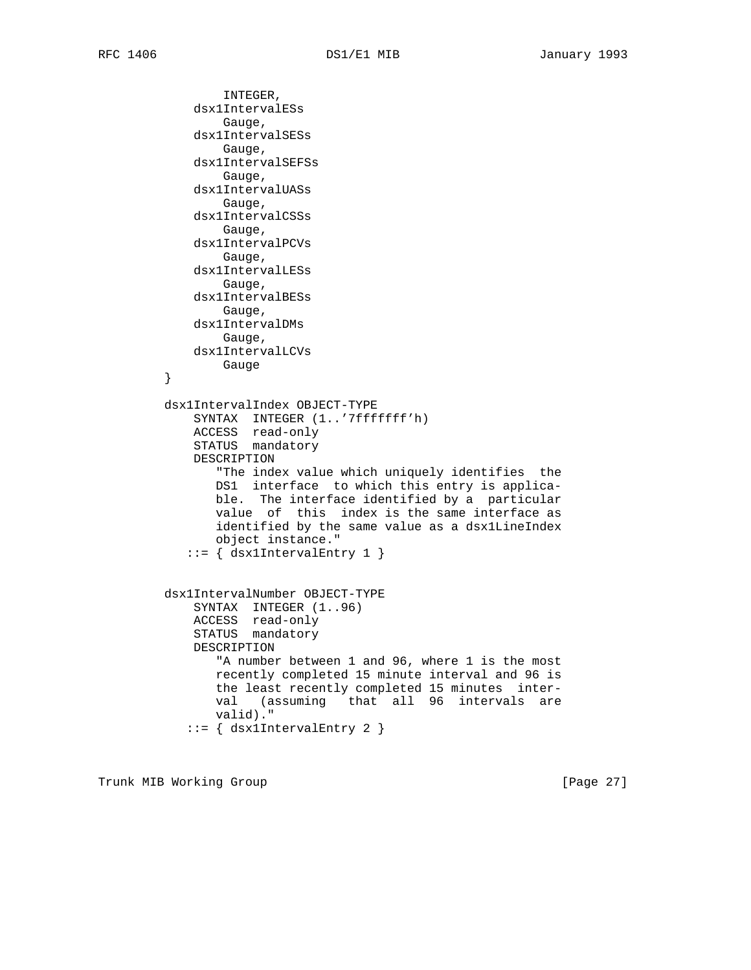```
 INTEGER,
             dsx1IntervalESs
                 Gauge,
             dsx1IntervalSESs
                Gauge,
             dsx1IntervalSEFSs
                 Gauge,
             dsx1IntervalUASs
                Gauge,
             dsx1IntervalCSSs
                Gauge,
             dsx1IntervalPCVs
                Gauge,
             dsx1IntervalLESs
                Gauge,
             dsx1IntervalBESs
                Gauge,
             dsx1IntervalDMs
                Gauge,
             dsx1IntervalLCVs
                Gauge
 }
         dsx1IntervalIndex OBJECT-TYPE
             SYNTAX INTEGER (1..'7fffffff'h)
 ACCESS read-only
STATUS mandatory
             DESCRIPTION
                "The index value which uniquely identifies the
                DS1 interface to which this entry is applica-
                ble. The interface identified by a particular
                value of this index is the same interface as
                identified by the same value as a dsx1LineIndex
                object instance."
           ::= \{ dsx1IntervalEntry 1 \} dsx1IntervalNumber OBJECT-TYPE
SYNTAX INTEGER (1..96) ACCESS read-only
             STATUS mandatory
             DESCRIPTION
                "A number between 1 and 96, where 1 is the most
                recently completed 15 minute interval and 96 is
                the least recently completed 15 minutes inter-
                val (assuming that all 96 intervals are
                valid)."
            ::= { dsx1IntervalEntry 2 }
```
Trunk MIB Working Group **Example 27** 1 and 2011 1 and 2012 1 and 2012 1 and 2013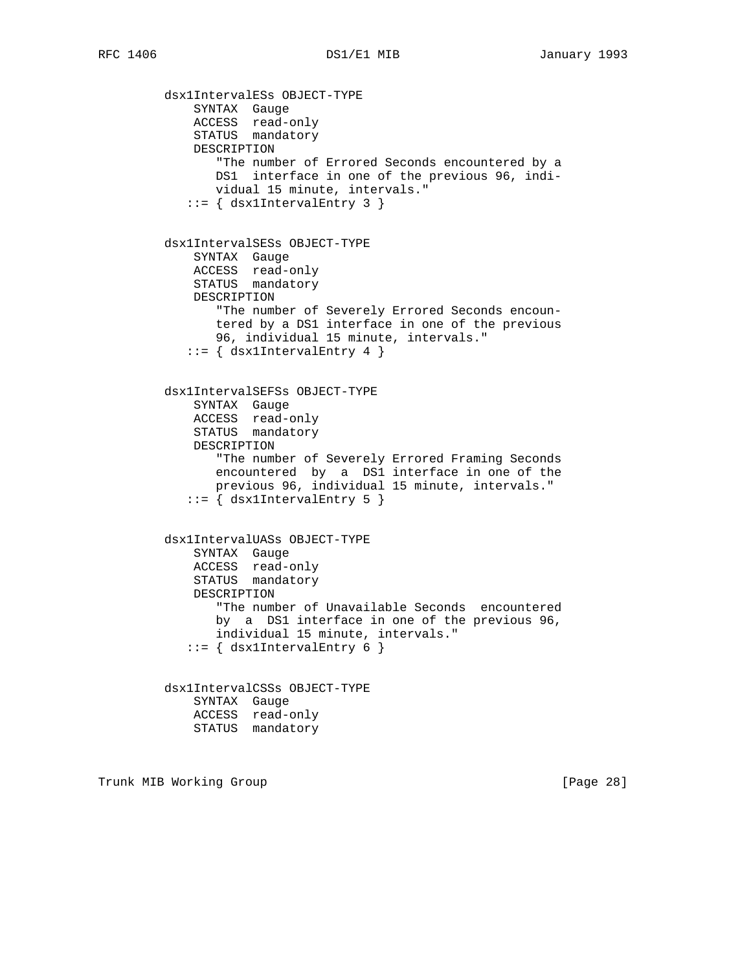dsx1IntervalESs OBJECT-TYPE SYNTAX Gauge ACCESS read-only STATUS mandatory DESCRIPTION "The number of Errored Seconds encountered by a DS1 interface in one of the previous 96, indi vidual 15 minute, intervals."  $::=$  { dsx1IntervalEntry 3 } dsx1IntervalSESs OBJECT-TYPE SYNTAX Gauge ACCESS read-only STATUS mandatory DESCRIPTION "The number of Severely Errored Seconds encoun tered by a DS1 interface in one of the previous 96, individual 15 minute, intervals."  $::=$  { dsxlIntervalEntry 4 } dsx1IntervalSEFSs OBJECT-TYPE SYNTAX Gauge ACCESS read-only STATUS mandatory DESCRIPTION "The number of Severely Errored Framing Seconds encountered by a DS1 interface in one of the previous 96, individual 15 minute, intervals." ::= { dsx1IntervalEntry 5 } dsx1IntervalUASs OBJECT-TYPE SYNTAX Gauge ACCESS read-only STATUS mandatory DESCRIPTION "The number of Unavailable Seconds encountered by a DS1 interface in one of the previous 96, individual 15 minute, intervals."  $::=$  { dsx1IntervalEntry 6 } dsx1IntervalCSSs OBJECT-TYPE SYNTAX Gauge ACCESS read-only STATUS mandatory

Trunk MIB Working Group **Example 28** and the control of the control of the control of  $[Page 28]$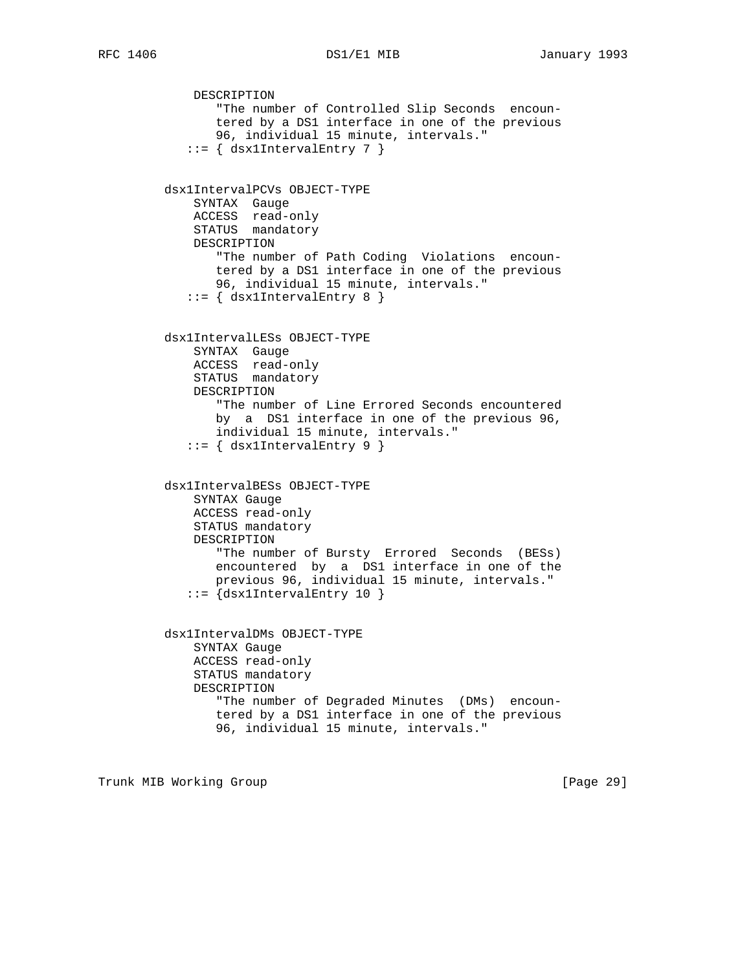```
 DESCRIPTION
        "The number of Controlled Slip Seconds encoun-
        tered by a DS1 interface in one of the previous
        96, individual 15 minute, intervals."
   ::= \{ dsx1IntervalEntry 7 \} dsx1IntervalPCVs OBJECT-TYPE
     SYNTAX Gauge
     ACCESS read-only
     STATUS mandatory
     DESCRIPTION
        "The number of Path Coding Violations encoun-
        tered by a DS1 interface in one of the previous
        96, individual 15 minute, intervals."
   ::= { dsx1IntervalEntry 8 }
 dsx1IntervalLESs OBJECT-TYPE
     SYNTAX Gauge
     ACCESS read-only
     STATUS mandatory
     DESCRIPTION
        "The number of Line Errored Seconds encountered
        by a DS1 interface in one of the previous 96,
        individual 15 minute, intervals."
    ::= { dsx1IntervalEntry 9 }
 dsx1IntervalBESs OBJECT-TYPE
    SYNTAX Gauge
    ACCESS read-only
     STATUS mandatory
     DESCRIPTION
        "The number of Bursty Errored Seconds (BESs)
        encountered by a DS1 interface in one of the
        previous 96, individual 15 minute, intervals."
    ::= {dsx1IntervalEntry 10 }
 dsx1IntervalDMs OBJECT-TYPE
    SYNTAX Gauge
     ACCESS read-only
     STATUS mandatory
     DESCRIPTION
        "The number of Degraded Minutes (DMs) encoun-
        tered by a DS1 interface in one of the previous
        96, individual 15 minute, intervals."
```
Trunk MIB Working Group **Example 2018** [Page 29]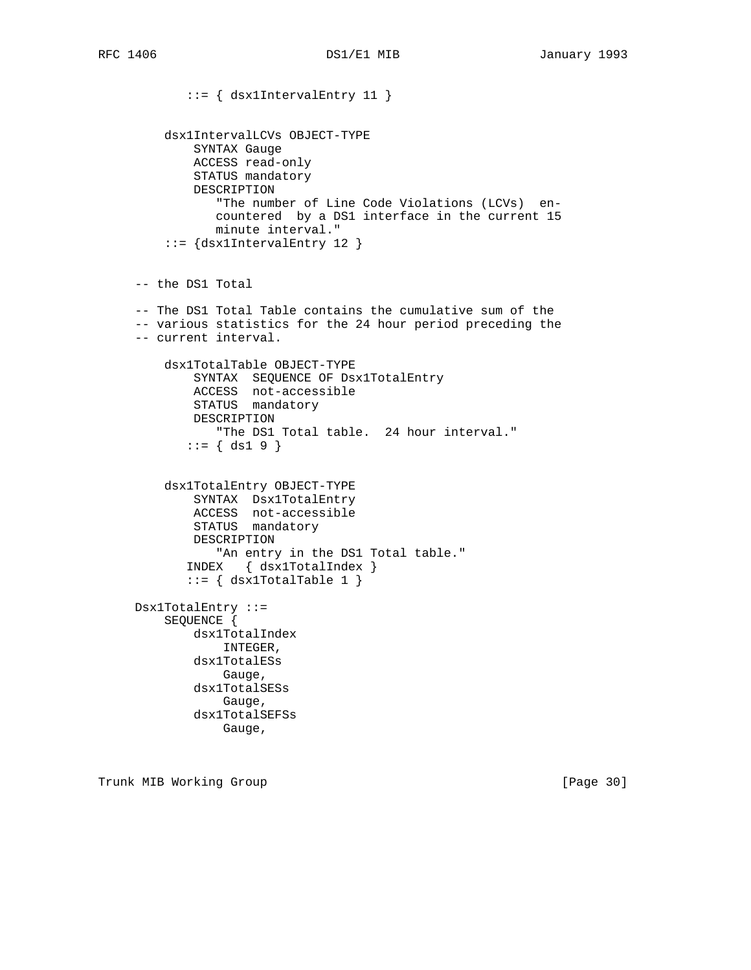```
 ::= { dsx1IntervalEntry 11 }
     dsx1IntervalLCVs OBJECT-TYPE
         SYNTAX Gauge
         ACCESS read-only
         STATUS mandatory
         DESCRIPTION
            "The number of Line Code Violations (LCVs) en-
            countered by a DS1 interface in the current 15
            minute interval."
     ::= {dsx1IntervalEntry 12 }
 -- the DS1 Total
 -- The DS1 Total Table contains the cumulative sum of the
 -- various statistics for the 24 hour period preceding the
 -- current interval.
     dsx1TotalTable OBJECT-TYPE
         SYNTAX SEQUENCE OF Dsx1TotalEntry
         ACCESS not-accessible
         STATUS mandatory
         DESCRIPTION
            "The DS1 Total table. 24 hour interval."
       ::= \{ ds1 9 \} dsx1TotalEntry OBJECT-TYPE
        SYNTAX Dsx1TotalEntry
        ACCESS not-accessible
        STATUS mandatory
        DESCRIPTION
            "An entry in the DS1 Total table."
        INDEX { dsx1TotalIndex }
       ::= { dsx1TotalTable 1 }
 Dsx1TotalEntry ::=
     SEQUENCE {
        dsx1TotalIndex
            INTEGER,
         dsx1TotalESs
            Gauge,
         dsx1TotalSESs
            Gauge,
         dsx1TotalSEFSs
             Gauge,
```
Trunk MIB Working Group **Example 2018** [Page 30]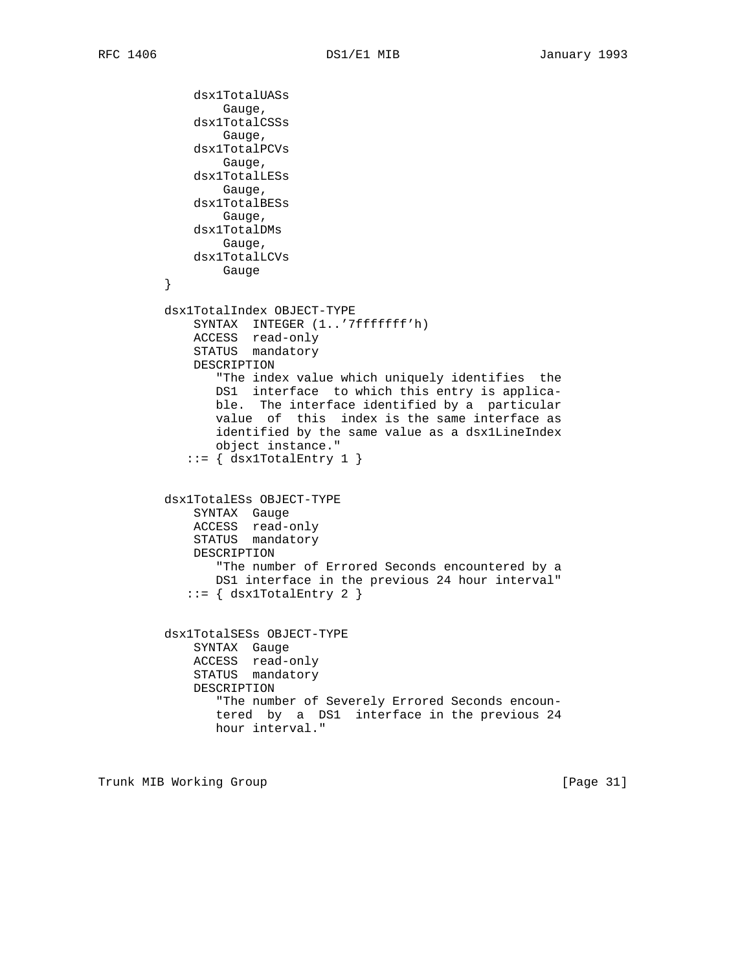```
 dsx1TotalUASs
        Gauge,
     dsx1TotalCSSs
        Gauge,
     dsx1TotalPCVs
        Gauge,
     dsx1TotalLESs
        Gauge,
     dsx1TotalBESs
        Gauge,
    dsx1TotalDMs
       Gauge,
    dsx1TotalLCVs
       Gauge
 }
 dsx1TotalIndex OBJECT-TYPE
     SYNTAX INTEGER (1..'7fffffff'h)
    ACCESS read-only
     STATUS mandatory
    DESCRIPTION
        "The index value which uniquely identifies the
       DS1 interface to which this entry is applica-
       ble. The interface identified by a particular
        value of this index is the same interface as
        identified by the same value as a dsx1LineIndex
       object instance."
   ::= { dsx1TotalEntry 1 }
 dsx1TotalESs OBJECT-TYPE
    SYNTAX Gauge
    ACCESS read-only
     STATUS mandatory
    DESCRIPTION
        "The number of Errored Seconds encountered by a
       DS1 interface in the previous 24 hour interval"
   ::= { dsx1TotalEntry 2 }
 dsx1TotalSESs OBJECT-TYPE
    SYNTAX Gauge
    ACCESS read-only
    STATUS mandatory
     DESCRIPTION
        "The number of Severely Errored Seconds encoun-
        tered by a DS1 interface in the previous 24
       hour interval."
```
Trunk MIB Working Group **Example 2018** [Page 31]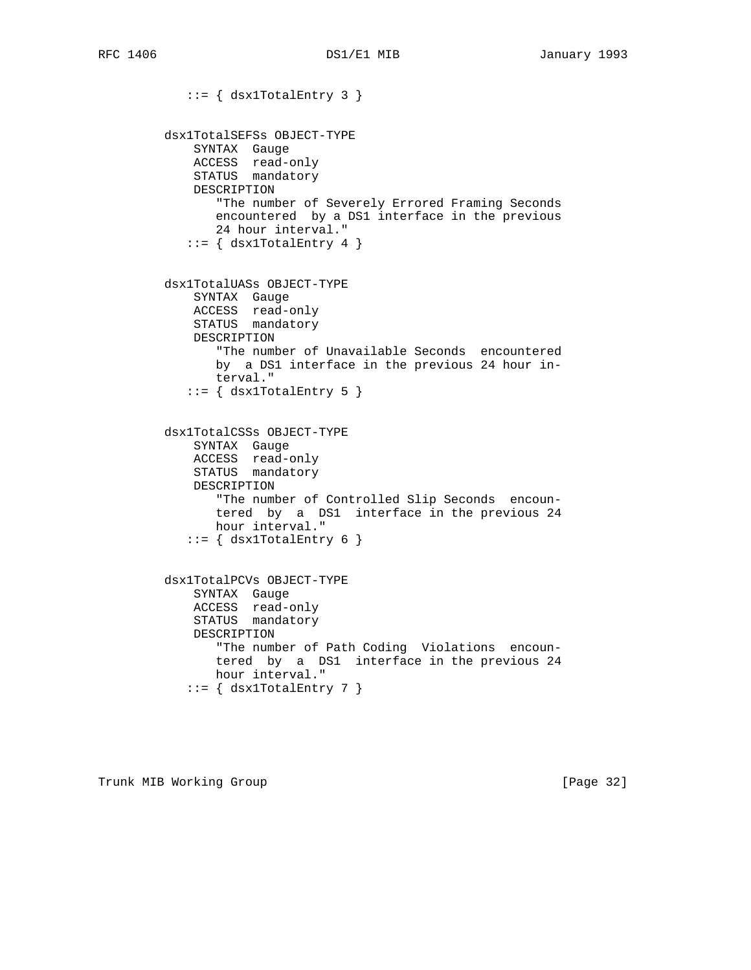```
::= { dsx1TotalEntry 3 }
        dsx1TotalSEFSs OBJECT-TYPE
SYNTAX Gauge
 ACCESS read-only
            STATUS mandatory
            DESCRIPTION
               "The number of Severely Errored Framing Seconds
               encountered by a DS1 interface in the previous
               24 hour interval."
          ::= { dsx1TotalEntry 4 }
        dsx1TotalUASs OBJECT-TYPE
            SYNTAX Gauge
            ACCESS read-only
            STATUS mandatory
            DESCRIPTION
               "The number of Unavailable Seconds encountered
               by a DS1 interface in the previous 24 hour in-
               terval."
          ::= { dsx1TotalEntry 5 }
        dsx1TotalCSSs OBJECT-TYPE
 SYNTAX Gauge
 ACCESS read-only
STATUS mandatory
            DESCRIPTION
               "The number of Controlled Slip Seconds encoun-
               tered by a DS1 interface in the previous 24
               hour interval."
          ::= { dsx1TotalEntry 6 }
        dsx1TotalPCVs OBJECT-TYPE
SYNTAX Gauge
 ACCESS read-only
STATUS mandatory
            DESCRIPTION
               "The number of Path Coding Violations encoun-
               tered by a DS1 interface in the previous 24
               hour interval."
          ::= { dsx1TotalEntry 7 }
```
Trunk MIB Working Group **Example 2018** [Page 32]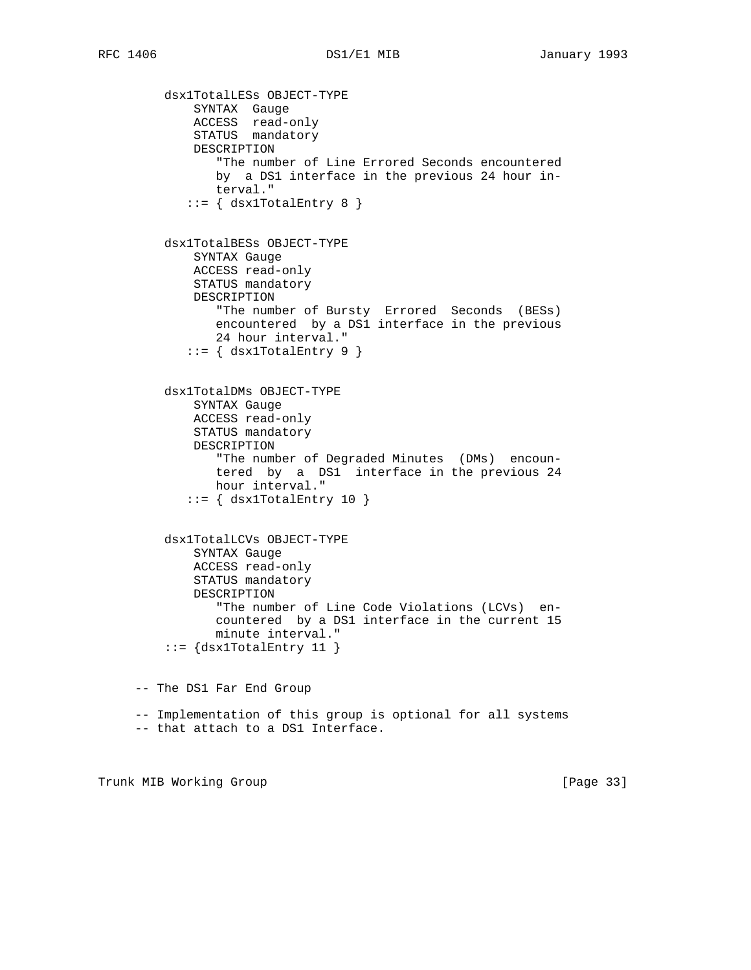dsx1TotalLESs OBJECT-TYPE SYNTAX Gauge ACCESS read-only STATUS mandatory DESCRIPTION "The number of Line Errored Seconds encountered by a DS1 interface in the previous 24 hour in terval."  $::=$  { dsx1TotalEntry 8 } dsx1TotalBESs OBJECT-TYPE SYNTAX Gauge ACCESS read-only STATUS mandatory DESCRIPTION "The number of Bursty Errored Seconds (BESs) encountered by a DS1 interface in the previous 24 hour interval."  $::=$   $\{$  dsx1TotalEntry 9  $\}$  dsx1TotalDMs OBJECT-TYPE SYNTAX Gauge ACCESS read-only STATUS mandatory DESCRIPTION "The number of Degraded Minutes (DMs) encoun tered by a DS1 interface in the previous 24 hour interval."  $::=$   $\{$  dsx1TotalEntry 10  $\}$  dsx1TotalLCVs OBJECT-TYPE SYNTAX Gauge ACCESS read-only STATUS mandatory DESCRIPTION "The number of Line Code Violations (LCVs) en countered by a DS1 interface in the current 15 minute interval."  $::=$  {dsx1TotalEntry 11 } -- The DS1 Far End Group -- Implementation of this group is optional for all systems -- that attach to a DS1 Interface.

Trunk MIB Working Group **Example 2018** [Page 33]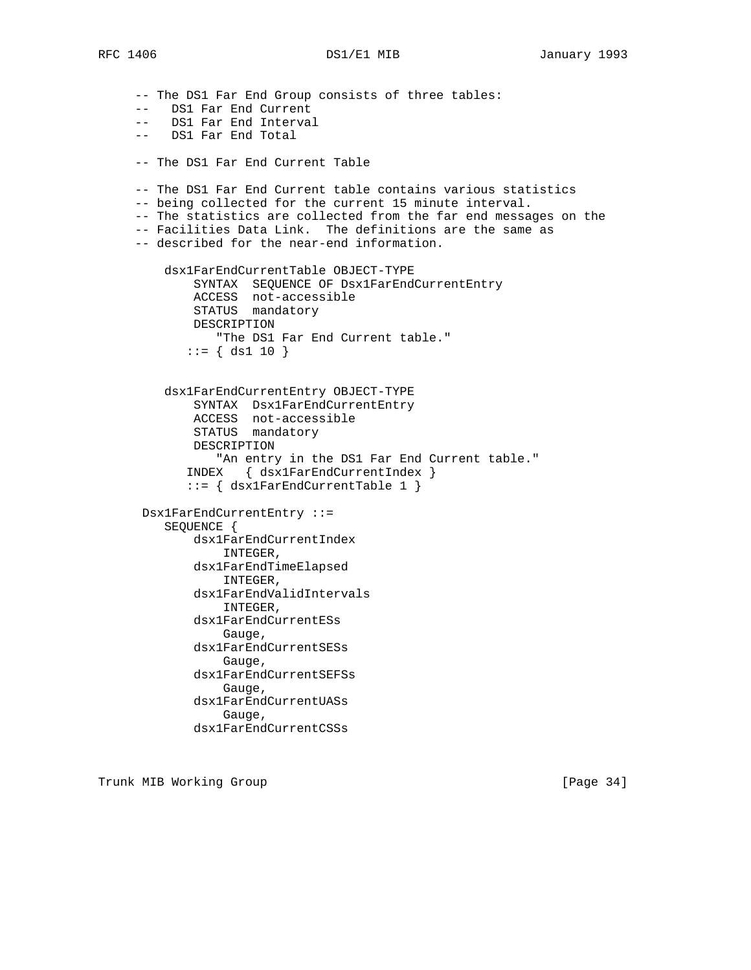-- The DS1 Far End Group consists of three tables: -- DS1 Far End Current -- DS1 Far End Interval -- DS1 Far End Total -- The DS1 Far End Current Table -- The DS1 Far End Current table contains various statistics -- being collected for the current 15 minute interval. -- The statistics are collected from the far end messages on the -- Facilities Data Link. The definitions are the same as -- described for the near-end information. dsx1FarEndCurrentTable OBJECT-TYPE SYNTAX SEQUENCE OF Dsx1FarEndCurrentEntry ACCESS not-accessible STATUS mandatory DESCRIPTION "The DS1 Far End Current table."  $::=$  { ds1 10 } dsx1FarEndCurrentEntry OBJECT-TYPE SYNTAX Dsx1FarEndCurrentEntry ACCESS not-accessible STATUS mandatory DESCRIPTION "An entry in the DS1 Far End Current table." INDEX { dsx1FarEndCurrentIndex } ::= { dsx1FarEndCurrentTable 1 } Dsx1FarEndCurrentEntry ::= SEQUENCE { dsx1FarEndCurrentIndex INTEGER, dsx1FarEndTimeElapsed INTEGER, dsx1FarEndValidIntervals INTEGER, dsx1FarEndCurrentESs Gauge, dsx1FarEndCurrentSESs Gauge, dsx1FarEndCurrentSEFSs Gauge, dsx1FarEndCurrentUASs Gauge, dsx1FarEndCurrentCSSs

Trunk MIB Working Group **Example 2018** [Page 34]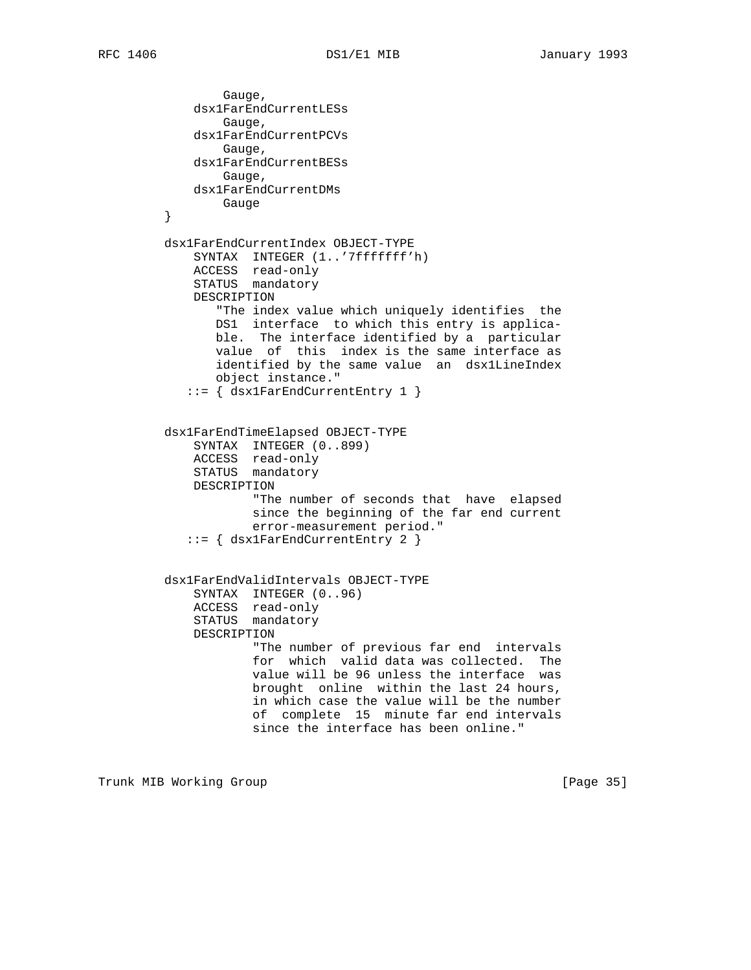Gauge, dsx1FarEndCurrentLESs Gauge, dsx1FarEndCurrentPCVs Gauge, dsx1FarEndCurrentBESs Gauge, dsx1FarEndCurrentDMs }<br>}<br>} } dsx1FarEndCurrentIndex OBJECT-TYPE SYNTAX INTEGER (1..'7fffffff'h) ACCESS read-only STATUS mandatory DESCRIPTION "The index value which uniquely identifies the DS1 interface to which this entry is applica ble. The interface identified by a particular value of this index is the same interface as identified by the same value an dsx1LineIndex object instance." ::= { dsx1FarEndCurrentEntry 1 } dsx1FarEndTimeElapsed OBJECT-TYPE SYNTAX INTEGER (0..899) ACCESS read-only STATUS mandatory DESCRIPTION "The number of seconds that have elapsed since the beginning of the far end current error-measurement period." ::= { dsx1FarEndCurrentEntry 2 } dsx1FarEndValidIntervals OBJECT-TYPE SYNTAX INTEGER  $(0..96)$  ACCESS read-only STATUS mandatory DESCRIPTION "The number of previous far end intervals for which valid data was collected. The value will be 96 unless the interface was brought online within the last 24 hours, in which case the value will be the number of complete 15 minute far end intervals since the interface has been online."

Trunk MIB Working Group **Example 2018** [Page 35]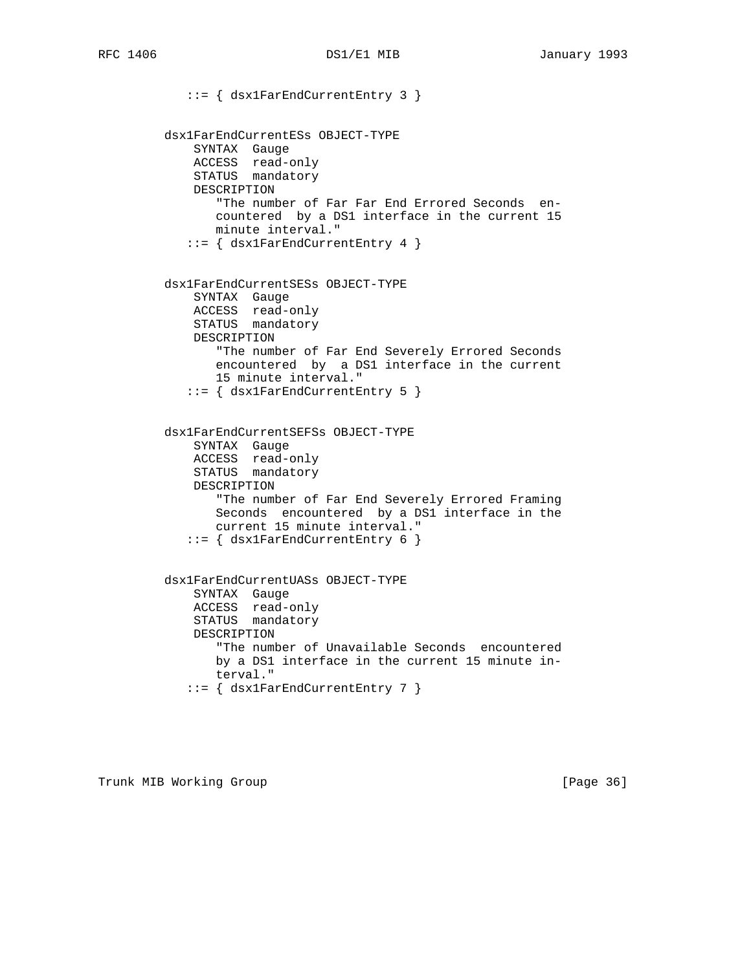::= { dsx1FarEndCurrentEntry 3 } dsx1FarEndCurrentESs OBJECT-TYPE SYNTAX Gauge ACCESS read-only STATUS mandatory DESCRIPTION "The number of Far Far End Errored Seconds en countered by a DS1 interface in the current 15 minute interval." ::= { dsx1FarEndCurrentEntry 4 } dsx1FarEndCurrentSESs OBJECT-TYPE SYNTAX Gauge ACCESS read-only STATUS mandatory DESCRIPTION "The number of Far End Severely Errored Seconds encountered by a DS1 interface in the current 15 minute interval." ::= { dsx1FarEndCurrentEntry 5 } dsx1FarEndCurrentSEFSs OBJECT-TYPE SYNTAX Gauge ACCESS read-only STATUS mandatory DESCRIPTION "The number of Far End Severely Errored Framing Seconds encountered by a DS1 interface in the current 15 minute interval." ::= { dsx1FarEndCurrentEntry 6 } dsx1FarEndCurrentUASs OBJECT-TYPE SYNTAX Gauge ACCESS read-only STATUS mandatory DESCRIPTION "The number of Unavailable Seconds encountered by a DS1 interface in the current 15 minute in terval." ::= { dsx1FarEndCurrentEntry 7 }

Trunk MIB Working Group **Example 2018** [Page 36]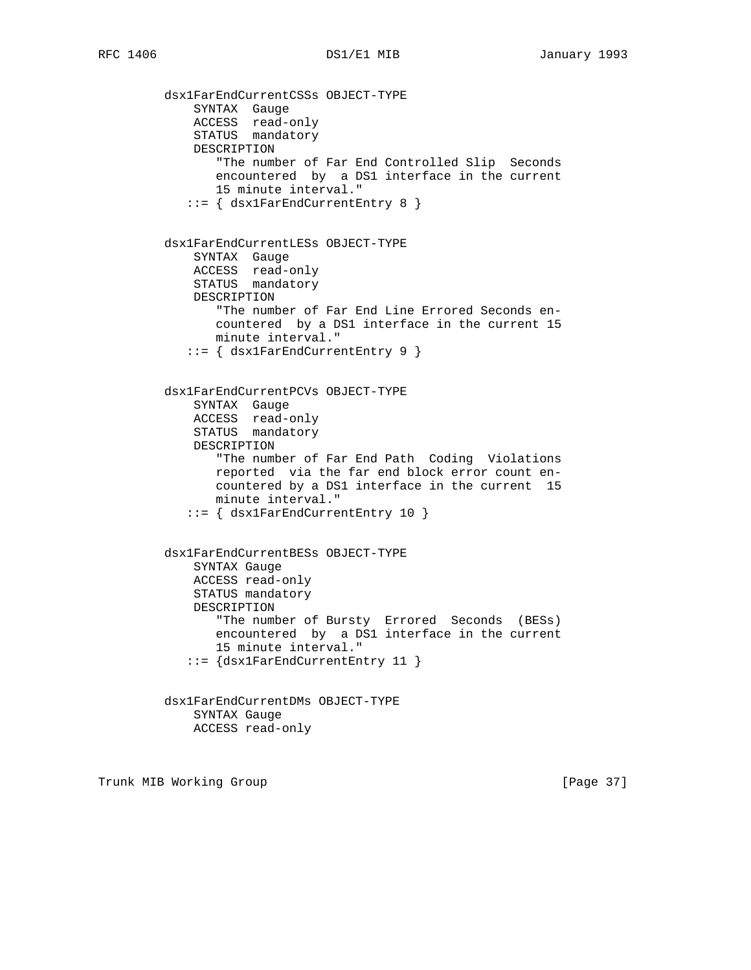dsx1FarEndCurrentCSSs OBJECT-TYPE SYNTAX Gauge ACCESS read-only STATUS mandatory DESCRIPTION "The number of Far End Controlled Slip Seconds encountered by a DS1 interface in the current 15 minute interval." ::= { dsx1FarEndCurrentEntry 8 } dsx1FarEndCurrentLESs OBJECT-TYPE SYNTAX Gauge ACCESS read-only STATUS mandatory DESCRIPTION "The number of Far End Line Errored Seconds en countered by a DS1 interface in the current 15 minute interval." ::= { dsx1FarEndCurrentEntry 9 } dsx1FarEndCurrentPCVs OBJECT-TYPE SYNTAX Gauge ACCESS read-only STATUS mandatory DESCRIPTION "The number of Far End Path Coding Violations reported via the far end block error count en countered by a DS1 interface in the current 15 minute interval." ::= { dsx1FarEndCurrentEntry 10 } dsx1FarEndCurrentBESs OBJECT-TYPE SYNTAX Gauge ACCESS read-only STATUS mandatory DESCRIPTION "The number of Bursty Errored Seconds (BESs) encountered by a DS1 interface in the current 15 minute interval." ::= {dsx1FarEndCurrentEntry 11 } dsx1FarEndCurrentDMs OBJECT-TYPE SYNTAX Gauge ACCESS read-only

Trunk MIB Working Group **Example 2018** [Page 37]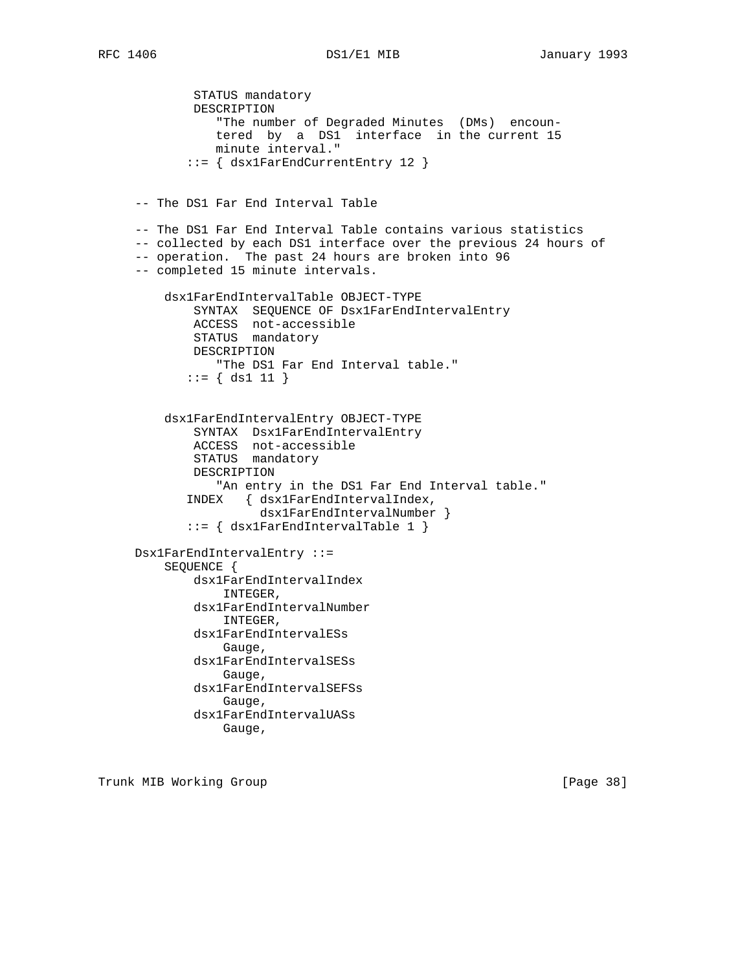STATUS mandatory DESCRIPTION "The number of Degraded Minutes (DMs) encoun tered by a DS1 interface in the current 15 minute interval." ::= { dsx1FarEndCurrentEntry 12 } -- The DS1 Far End Interval Table -- The DS1 Far End Interval Table contains various statistics -- collected by each DS1 interface over the previous 24 hours of -- operation. The past 24 hours are broken into 96 -- completed 15 minute intervals. dsx1FarEndIntervalTable OBJECT-TYPE SYNTAX SEQUENCE OF Dsx1FarEndIntervalEntry ACCESS not-accessible STATUS mandatory DESCRIPTION "The DS1 Far End Interval table."  $::=$  { ds1 11 } dsx1FarEndIntervalEntry OBJECT-TYPE SYNTAX Dsx1FarEndIntervalEntry ACCESS not-accessible STATUS mandatory DESCRIPTION "An entry in the DS1 Far End Interval table." INDEX { dsx1FarEndIntervalIndex, dsx1FarEndIntervalNumber } ::= { dsx1FarEndIntervalTable 1 } Dsx1FarEndIntervalEntry ::= SEQUENCE { dsx1FarEndIntervalIndex INTEGER, dsx1FarEndIntervalNumber INTEGER, dsx1FarEndIntervalESs Gauge, dsx1FarEndIntervalSESs Gauge, dsx1FarEndIntervalSEFSs Gauge, dsx1FarEndIntervalUASs Gauge,

Trunk MIB Working Group **Example 2018** [Page 38]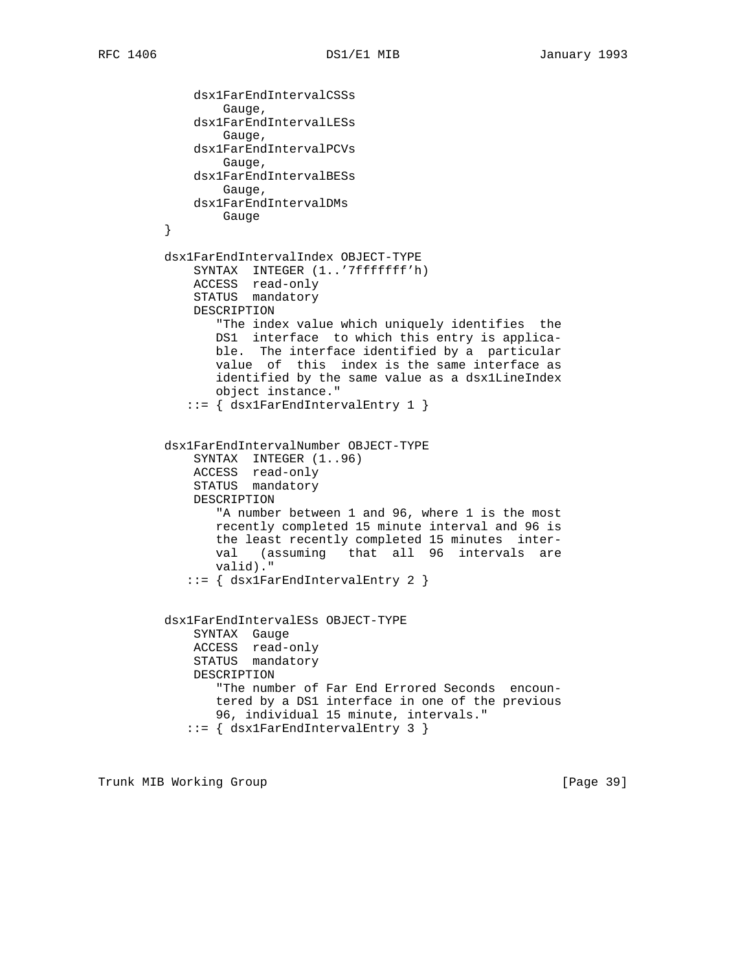```
 dsx1FarEndIntervalCSSs
                 Gauge,
             dsx1FarEndIntervalLESs
                 Gauge,
             dsx1FarEndIntervalPCVs
                 Gauge,
             dsx1FarEndIntervalBESs
                Gauge,
             dsx1FarEndIntervalDMs
        }<br>}<br>}
 }
         dsx1FarEndIntervalIndex OBJECT-TYPE
             SYNTAX INTEGER (1..'7fffffff'h)
 ACCESS read-only
STATUS mandatory
             DESCRIPTION
                "The index value which uniquely identifies the
                DS1 interface to which this entry is applica-
                ble. The interface identified by a particular
                value of this index is the same interface as
                identified by the same value as a dsx1LineIndex
                object instance."
            ::= { dsx1FarEndIntervalEntry 1 }
         dsx1FarEndIntervalNumber OBJECT-TYPE
             SYNTAX INTEGER (1..96)
 ACCESS read-only
STATUS mandatory
             DESCRIPTION
                "A number between 1 and 96, where 1 is the most
                recently completed 15 minute interval and 96 is
                the least recently completed 15 minutes inter-
                val (assuming that all 96 intervals are
                valid)."
            ::= { dsx1FarEndIntervalEntry 2 }
         dsx1FarEndIntervalESs OBJECT-TYPE
             SYNTAX Gauge
             ACCESS read-only
             STATUS mandatory
             DESCRIPTION
                "The number of Far End Errored Seconds encoun-
                tered by a DS1 interface in one of the previous
                96, individual 15 minute, intervals."
            ::= { dsx1FarEndIntervalEntry 3 }
```
Trunk MIB Working Group **Example 2018** [Page 39]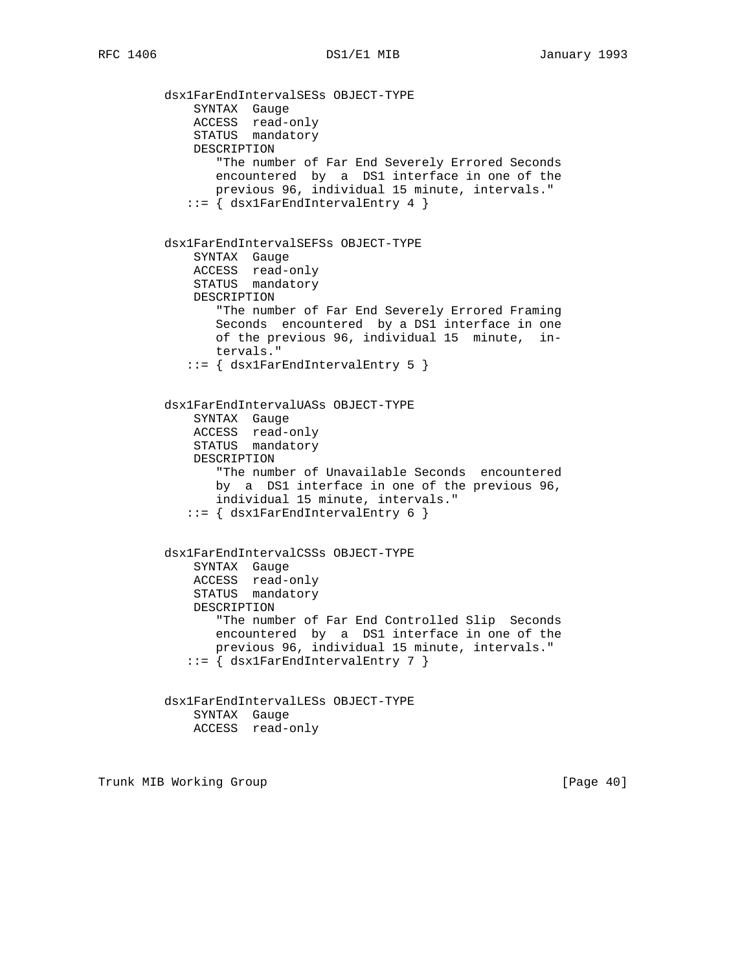dsx1FarEndIntervalSESs OBJECT-TYPE SYNTAX Gauge ACCESS read-only STATUS mandatory DESCRIPTION "The number of Far End Severely Errored Seconds encountered by a DS1 interface in one of the previous 96, individual 15 minute, intervals." ::= { dsx1FarEndIntervalEntry 4 } dsx1FarEndIntervalSEFSs OBJECT-TYPE SYNTAX Gauge ACCESS read-only STATUS mandatory DESCRIPTION "The number of Far End Severely Errored Framing Seconds encountered by a DS1 interface in one of the previous 96, individual 15 minute, in tervals." ::= { dsx1FarEndIntervalEntry 5 } dsx1FarEndIntervalUASs OBJECT-TYPE SYNTAX Gauge ACCESS read-only STATUS mandatory DESCRIPTION "The number of Unavailable Seconds encountered by a DS1 interface in one of the previous 96, individual 15 minute, intervals."  $::=$   $\{$  dsx1FarEndIntervalEntry 6  $\}$  dsx1FarEndIntervalCSSs OBJECT-TYPE SYNTAX Gauge ACCESS read-only STATUS mandatory DESCRIPTION "The number of Far End Controlled Slip Seconds encountered by a DS1 interface in one of the previous 96, individual 15 minute, intervals." ::= { dsx1FarEndIntervalEntry 7 } dsx1FarEndIntervalLESs OBJECT-TYPE SYNTAX Gauge ACCESS read-only

Trunk MIB Working Group **Example 2018** [Page 40]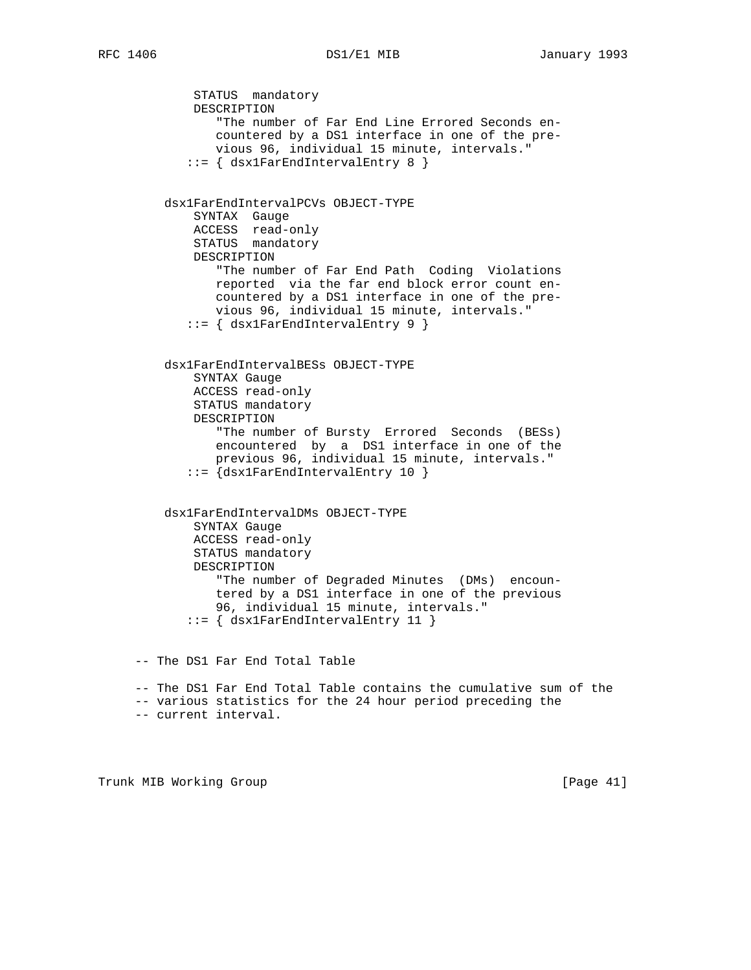STATUS mandatory DESCRIPTION "The number of Far End Line Errored Seconds en countered by a DS1 interface in one of the pre vious 96, individual 15 minute, intervals." ::= { dsx1FarEndIntervalEntry 8 } dsx1FarEndIntervalPCVs OBJECT-TYPE SYNTAX Gauge ACCESS read-only STATUS mandatory DESCRIPTION "The number of Far End Path Coding Violations reported via the far end block error count en countered by a DS1 interface in one of the pre vious 96, individual 15 minute, intervals." ::= { dsx1FarEndIntervalEntry 9 } dsx1FarEndIntervalBESs OBJECT-TYPE SYNTAX Gauge ACCESS read-only STATUS mandatory DESCRIPTION "The number of Bursty Errored Seconds (BESs) encountered by a DS1 interface in one of the previous 96, individual 15 minute, intervals." ::= {dsx1FarEndIntervalEntry 10 } dsx1FarEndIntervalDMs OBJECT-TYPE SYNTAX Gauge ACCESS read-only STATUS mandatory DESCRIPTION "The number of Degraded Minutes (DMs) encoun tered by a DS1 interface in one of the previous 96, individual 15 minute, intervals." ::= { dsx1FarEndIntervalEntry 11 } -- The DS1 Far End Total Table -- The DS1 Far End Total Table contains the cumulative sum of the -- various statistics for the 24 hour period preceding the -- current interval.

Trunk MIB Working Group **Example 2018** [Page 41]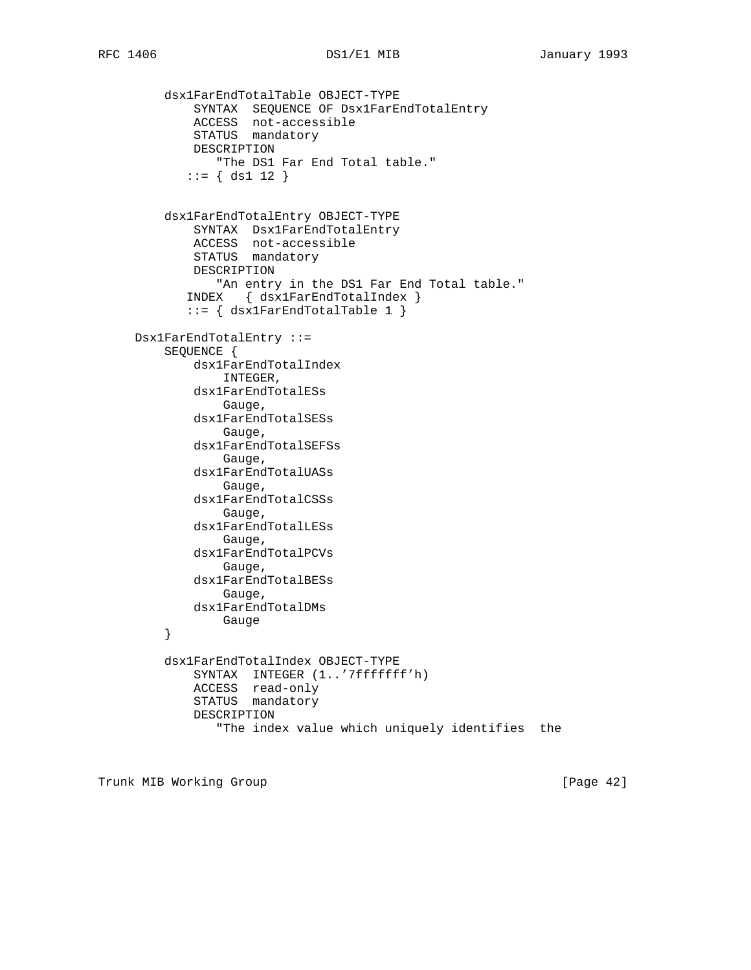dsx1FarEndTotalTable OBJECT-TYPE SYNTAX SEQUENCE OF Dsx1FarEndTotalEntry ACCESS not-accessible STATUS mandatory DESCRIPTION "The DS1 Far End Total table."  $::= \{ ds1 12 \}$  dsx1FarEndTotalEntry OBJECT-TYPE SYNTAX Dsx1FarEndTotalEntry ACCESS not-accessible STATUS mandatory DESCRIPTION "An entry in the DS1 Far End Total table." INDEX { dsx1FarEndTotalIndex } ::= { dsx1FarEndTotalTable 1 } Dsx1FarEndTotalEntry ::= SEQUENCE { dsx1FarEndTotalIndex INTEGER, dsx1FarEndTotalESs Gauge, dsx1FarEndTotalSESs Gauge, dsx1FarEndTotalSEFSs Gauge, dsx1FarEndTotalUASs Gauge, dsx1FarEndTotalCSSs Gauge, dsx1FarEndTotalLESs Gauge, dsx1FarEndTotalPCVs Gauge, dsx1FarEndTotalBESs Gauge, dsx1FarEndTotalDMs }<br>}<br>} } dsx1FarEndTotalIndex OBJECT-TYPE SYNTAX INTEGER (1..'7fffffff'h) ACCESS read-only STATUS mandatory DESCRIPTION "The index value which uniquely identifies the

Trunk MIB Working Group **Example 2018** [Page 42]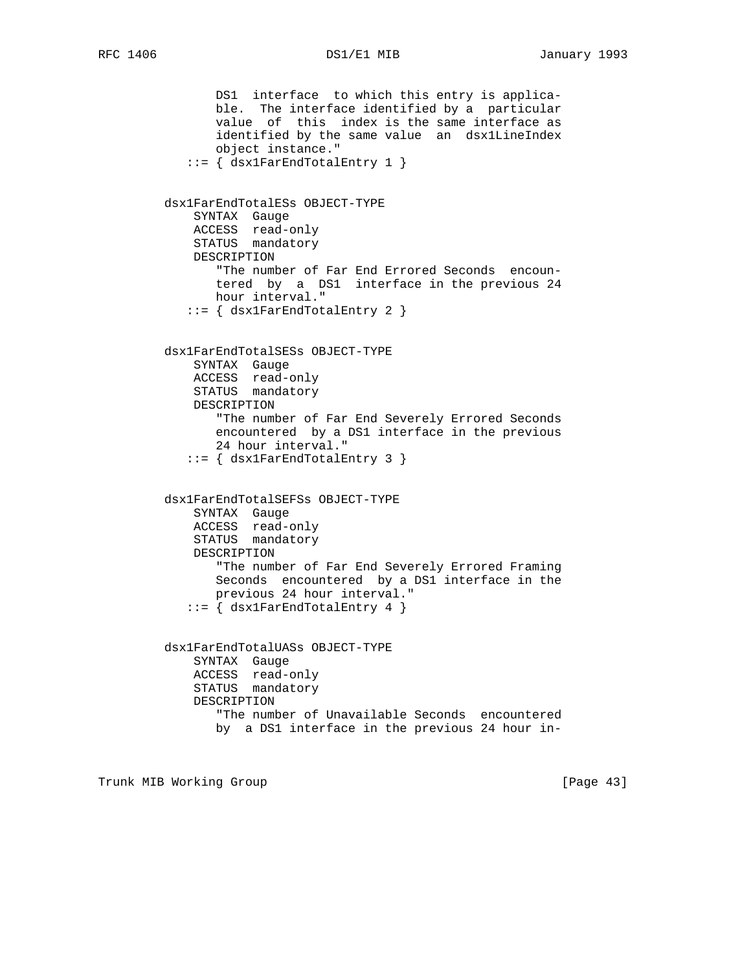DS1 interface to which this entry is applica ble. The interface identified by a particular value of this index is the same interface as identified by the same value an dsx1LineIndex object instance." ::= { dsx1FarEndTotalEntry 1 } dsx1FarEndTotalESs OBJECT-TYPE SYNTAX Gauge ACCESS read-only STATUS mandatory DESCRIPTION "The number of Far End Errored Seconds encoun tered by a DS1 interface in the previous 24 hour interval." ::= { dsx1FarEndTotalEntry 2 } dsx1FarEndTotalSESs OBJECT-TYPE SYNTAX Gauge ACCESS read-only STATUS mandatory DESCRIPTION "The number of Far End Severely Errored Seconds encountered by a DS1 interface in the previous 24 hour interval." ::= { dsx1FarEndTotalEntry 3 } dsx1FarEndTotalSEFSs OBJECT-TYPE SYNTAX Gauge ACCESS read-only STATUS mandatory DESCRIPTION "The number of Far End Severely Errored Framing Seconds encountered by a DS1 interface in the previous 24 hour interval." ::= { dsx1FarEndTotalEntry 4 } dsx1FarEndTotalUASs OBJECT-TYPE SYNTAX Gauge ACCESS read-only STATUS mandatory DESCRIPTION "The number of Unavailable Seconds encountered by a DS1 interface in the previous 24 hour in-

Trunk MIB Working Group **Example 2018** [Page 43]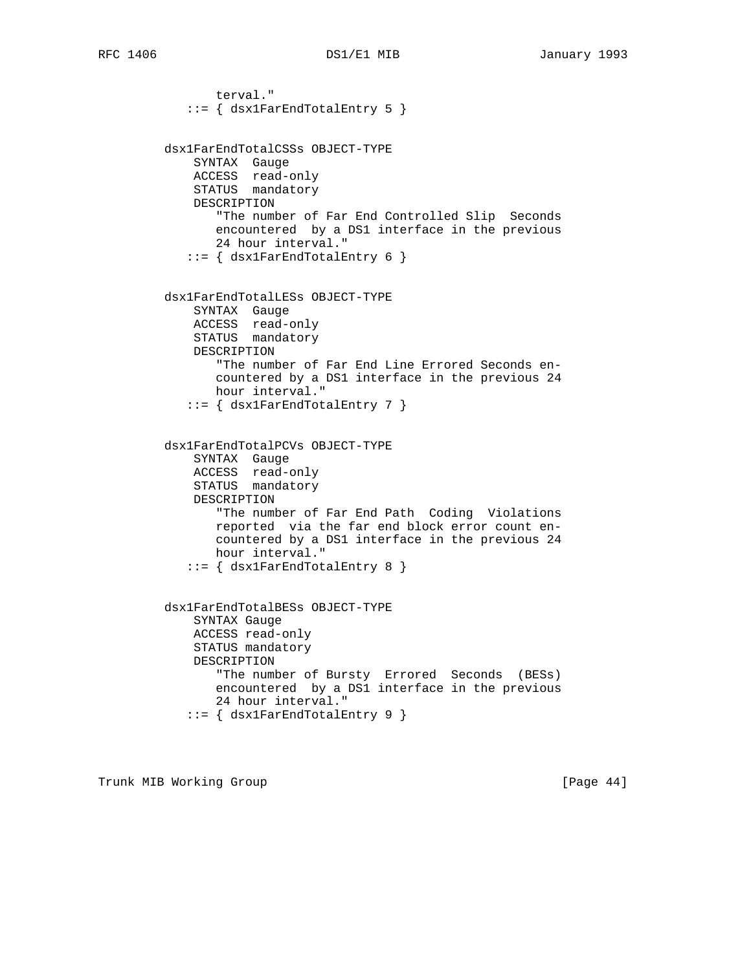```
 terval."
           ::= \{ dsx1FarEndTotalEntry 5 \} dsx1FarEndTotalCSSs OBJECT-TYPE
             SYNTAX Gauge
             ACCESS read-only
             STATUS mandatory
             DESCRIPTION
                "The number of Far End Controlled Slip Seconds
                encountered by a DS1 interface in the previous
                24 hour interval."
             ::= { dsx1FarEndTotalEntry 6 }
         dsx1FarEndTotalLESs OBJECT-TYPE
             SYNTAX Gauge
             ACCESS read-only
             STATUS mandatory
             DESCRIPTION
                "The number of Far End Line Errored Seconds en-
                countered by a DS1 interface in the previous 24
                hour interval."
             ::= { dsx1FarEndTotalEntry 7 }
         dsx1FarEndTotalPCVs OBJECT-TYPE
             SYNTAX Gauge
 ACCESS read-only
STATUS mandatory
             DESCRIPTION
                "The number of Far End Path Coding Violations
                reported via the far end block error count en-
                countered by a DS1 interface in the previous 24
                hour interval."
             ::= { dsx1FarEndTotalEntry 8 }
         dsx1FarEndTotalBESs OBJECT-TYPE
             SYNTAX Gauge
             ACCESS read-only
             STATUS mandatory
             DESCRIPTION
                "The number of Bursty Errored Seconds (BESs)
                encountered by a DS1 interface in the previous
                24 hour interval."
             ::= { dsx1FarEndTotalEntry 9 }
```
Trunk MIB Working Group **Example 2018** [Page 44]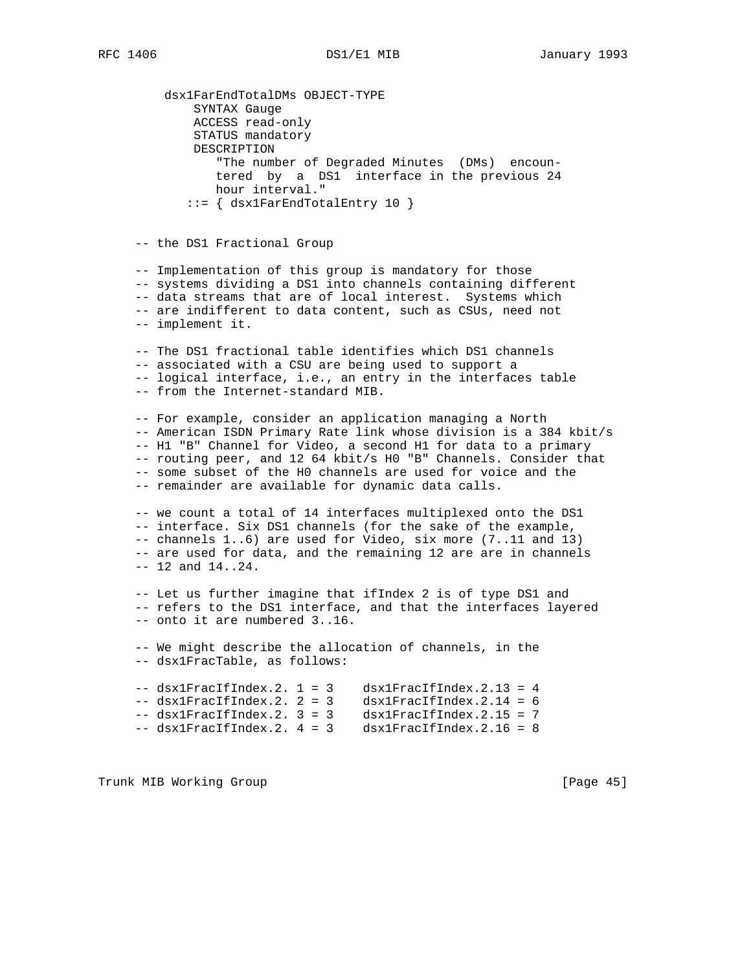dsx1FarEndTotalDMs OBJECT-TYPE SYNTAX Gauge ACCESS read-only STATUS mandatory DESCRIPTION "The number of Degraded Minutes (DMs) encoun tered by a DS1 interface in the previous 24 hour interval." ::= { dsx1FarEndTotalEntry 10 }

-- the DS1 Fractional Group

 -- Implementation of this group is mandatory for those -- systems dividing a DS1 into channels containing different -- data streams that are of local interest. Systems which -- are indifferent to data content, such as CSUs, need not -- implement it.

 -- The DS1 fractional table identifies which DS1 channels -- associated with a CSU are being used to support a -- logical interface, i.e., an entry in the interfaces table -- from the Internet-standard MIB.

 -- For example, consider an application managing a North -- American ISDN Primary Rate link whose division is a 384 kbit/s -- H1 "B" Channel for Video, a second H1 for data to a primary -- routing peer, and 12 64 kbit/s H0 "B" Channels. Consider that -- some subset of the H0 channels are used for voice and the -- remainder are available for dynamic data calls.

 -- we count a total of 14 interfaces multiplexed onto the DS1 -- interface. Six DS1 channels (for the sake of the example, -- channels 1..6) are used for Video, six more (7..11 and 13) -- are used for data, and the remaining 12 are are in channels -- 12 and 14..24.

 -- Let us further imagine that ifIndex 2 is of type DS1 and -- refers to the DS1 interface, and that the interfaces layered -- onto it are numbered 3..16.

 -- We might describe the allocation of channels, in the -- dsx1FracTable, as follows:

```
-- dsx1FracIfIndex.2. 1 = 3 dsx1FracIfIndex.2.13 = 4
    -- dsx1FracIfIndex.2. 2 = 3 dsx1FracIfIndex.2.14 = 6
 -- dsx1FracIfIndex.2. 3 = 3 dsx1FracIfIndex.2.15 = 7
 -- dsx1FracIfIndex.2. 4 = 3 dsx1FracIfIndex.2.16 = 8
```
Trunk MIB Working Group **Example 2018** [Page 45]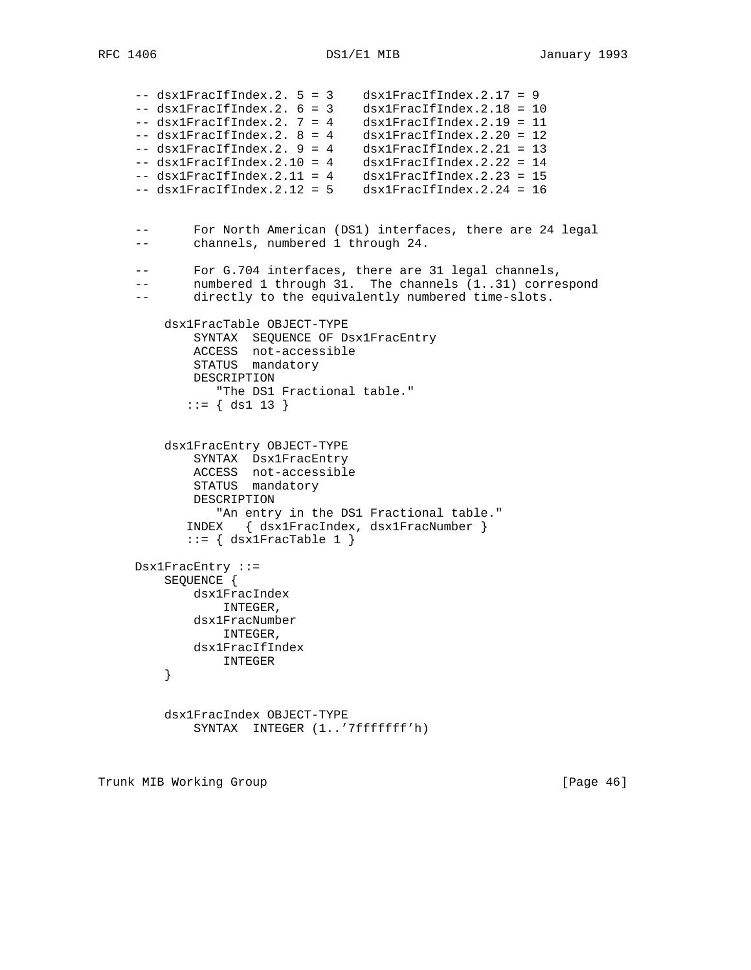```
 -- dsx1FracIfIndex.2. 5 = 3 dsx1FracIfIndex.2.17 = 9
 -- dsx1FracIfIndex.2. 6 = 3 dsx1FracIfIndex.2.18 = 10
 -- dsx1FracIfIndex.2. 7 = 4 dsx1FracIfIndex.2.19 = 11
 -- dsx1FracIfIndex.2. 8 = 4 dsx1FracIfIndex.2.20 = 12
 -- dsx1FracIfIndex.2. 9 = 4 dsx1FracIfIndex.2.21 = 13
 -- dsx1FracIfIndex.2.10 = 4 dsx1FracIfIndex.2.22 = 14
 -- dsx1FracIfIndex.2.11 = 4 dsx1FracIfIndex.2.23 = 15
    -- dsx1FracIfIndex.2.12 = 5 dsx1FracIfIndex.2.24 = 16
     -- For North American (DS1) interfaces, there are 24 legal
     -- channels, numbered 1 through 24.
     -- For G.704 interfaces, there are 31 legal channels,
    -- numbered 1 through 31. The channels (1..31) correspond
     -- directly to the equivalently numbered time-slots.
         dsx1FracTable OBJECT-TYPE
            SYNTAX SEQUENCE OF Dsx1FracEntry
            ACCESS not-accessible
            STATUS mandatory
            DESCRIPTION
               "The DS1 Fractional table."
           ::= { ds1 13 }
         dsx1FracEntry OBJECT-TYPE
            SYNTAX Dsx1FracEntry
 ACCESS not-accessible
STATUS mandatory
            DESCRIPTION
               "An entry in the DS1 Fractional table."
            INDEX { dsx1FracIndex, dsx1FracNumber }
           ::= \{ dsx1FracTable 1 \} Dsx1FracEntry ::=
         SEQUENCE {
            dsx1FracIndex
               INTEGER,
            dsx1FracNumber
               INTEGER,
            dsx1FracIfIndex
              INTEGER
         }
         dsx1FracIndex OBJECT-TYPE
            SYNTAX INTEGER (1..'7fffffff'h)
```
Trunk MIB Working Group **Example 2018** [Page 46]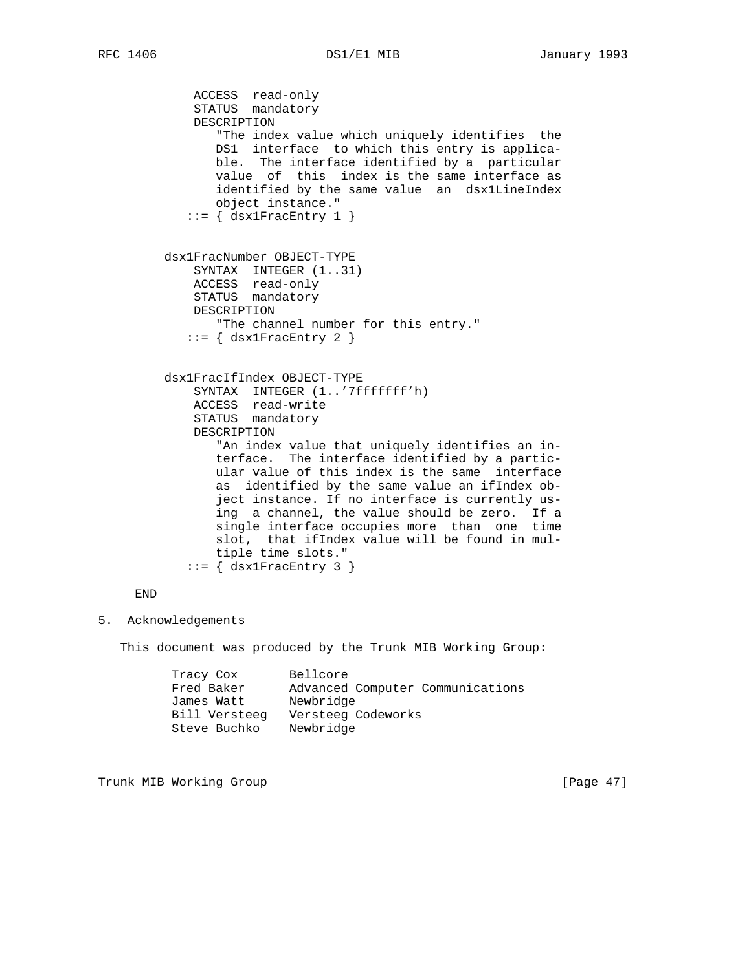ACCESS read-only STATUS mandatory DESCRIPTION "The index value which uniquely identifies the DS1 interface to which this entry is applica ble. The interface identified by a particular value of this index is the same interface as identified by the same value an dsx1LineIndex object instance."  $::=$  { dsx1FracEntry 1 } dsx1FracNumber OBJECT-TYPE SYNTAX INTEGER (1..31) ACCESS read-only STATUS mandatory DESCRIPTION "The channel number for this entry."  $::=$  { dsx1FracEntry 2 } dsx1FracIfIndex OBJECT-TYPE SYNTAX INTEGER (1..'7fffffff'h) ACCESS read-write STATUS mandatory DESCRIPTION "An index value that uniquely identifies an in terface. The interface identified by a partic ular value of this index is the same interface as identified by the same value an ifIndex ob ject instance. If no interface is currently us ing a channel, the value should be zero. If a single interface occupies more than one time slot, that ifIndex value will be found in mul tiple time slots."  $::=$  { dsx1FracEntry 3 }

END

5. Acknowledgements

This document was produced by the Trunk MIB Working Group:

| Tracy Cox     | Bellcore                         |
|---------------|----------------------------------|
| Fred Baker    | Advanced Computer Communications |
| James Watt    | Newbridge                        |
| Bill Versteeg | Versteeg Codeworks               |
| Steve Buchko  | Newbridge                        |

Trunk MIB Working Group **Example 2018** [Page 47]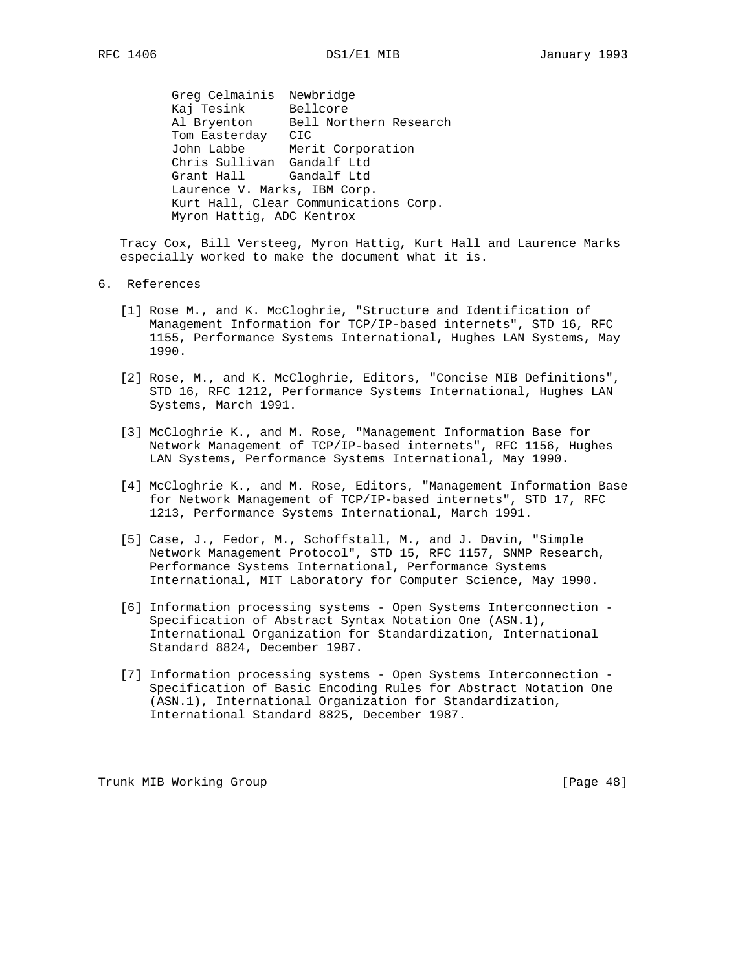Greg Celmainis Newbridge Kaj Tesink Bellcore Al Bryenton Bell Northern Research Tom Easterday CIC John Labbe Merit Corporation Chris Sullivan Gandalf Ltd Grant Hall Gandalf Ltd Laurence V. Marks, IBM Corp. Kurt Hall, Clear Communications Corp. Myron Hattig, ADC Kentrox

 Tracy Cox, Bill Versteeg, Myron Hattig, Kurt Hall and Laurence Marks especially worked to make the document what it is.

## 6. References

- [1] Rose M., and K. McCloghrie, "Structure and Identification of Management Information for TCP/IP-based internets", STD 16, RFC 1155, Performance Systems International, Hughes LAN Systems, May 1990.
- [2] Rose, M., and K. McCloghrie, Editors, "Concise MIB Definitions", STD 16, RFC 1212, Performance Systems International, Hughes LAN Systems, March 1991.
- [3] McCloghrie K., and M. Rose, "Management Information Base for Network Management of TCP/IP-based internets", RFC 1156, Hughes LAN Systems, Performance Systems International, May 1990.
- [4] McCloghrie K., and M. Rose, Editors, "Management Information Base for Network Management of TCP/IP-based internets", STD 17, RFC 1213, Performance Systems International, March 1991.
- [5] Case, J., Fedor, M., Schoffstall, M., and J. Davin, "Simple Network Management Protocol", STD 15, RFC 1157, SNMP Research, Performance Systems International, Performance Systems International, MIT Laboratory for Computer Science, May 1990.
- [6] Information processing systems Open Systems Interconnection Specification of Abstract Syntax Notation One (ASN.1), International Organization for Standardization, International Standard 8824, December 1987.
- [7] Information processing systems Open Systems Interconnection Specification of Basic Encoding Rules for Abstract Notation One (ASN.1), International Organization for Standardization, International Standard 8825, December 1987.

Trunk MIB Working Group **Example 2018** [Page 48]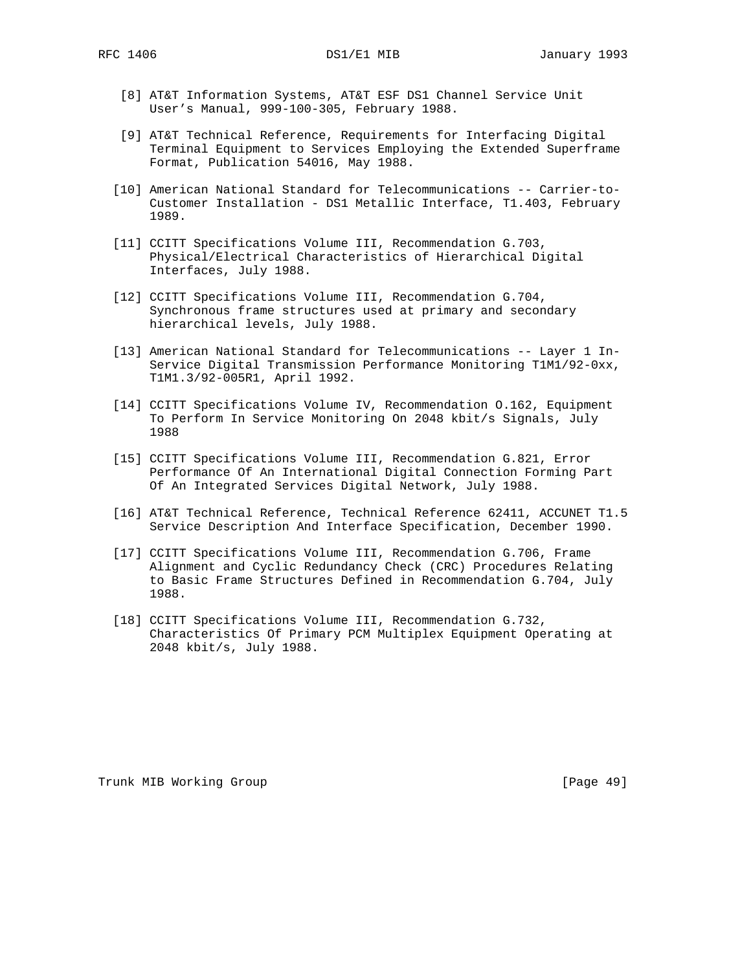- [8] AT&T Information Systems, AT&T ESF DS1 Channel Service Unit User's Manual, 999-100-305, February 1988.
- [9] AT&T Technical Reference, Requirements for Interfacing Digital Terminal Equipment to Services Employing the Extended Superframe Format, Publication 54016, May 1988.
- [10] American National Standard for Telecommunications -- Carrier-to- Customer Installation - DS1 Metallic Interface, T1.403, February 1989.
- [11] CCITT Specifications Volume III, Recommendation G.703, Physical/Electrical Characteristics of Hierarchical Digital Interfaces, July 1988.
- [12] CCITT Specifications Volume III, Recommendation G.704, Synchronous frame structures used at primary and secondary hierarchical levels, July 1988.
- [13] American National Standard for Telecommunications -- Layer 1 In- Service Digital Transmission Performance Monitoring T1M1/92-0xx, T1M1.3/92-005R1, April 1992.
- [14] CCITT Specifications Volume IV, Recommendation O.162, Equipment To Perform In Service Monitoring On 2048 kbit/s Signals, July 1988
- [15] CCITT Specifications Volume III, Recommendation G.821, Error Performance Of An International Digital Connection Forming Part Of An Integrated Services Digital Network, July 1988.
- [16] AT&T Technical Reference, Technical Reference 62411, ACCUNET T1.5 Service Description And Interface Specification, December 1990.
- [17] CCITT Specifications Volume III, Recommendation G.706, Frame Alignment and Cyclic Redundancy Check (CRC) Procedures Relating to Basic Frame Structures Defined in Recommendation G.704, July 1988.
- [18] CCITT Specifications Volume III, Recommendation G.732, Characteristics Of Primary PCM Multiplex Equipment Operating at 2048 kbit/s, July 1988.

Trunk MIB Working Group **Example 2018** [Page 49]